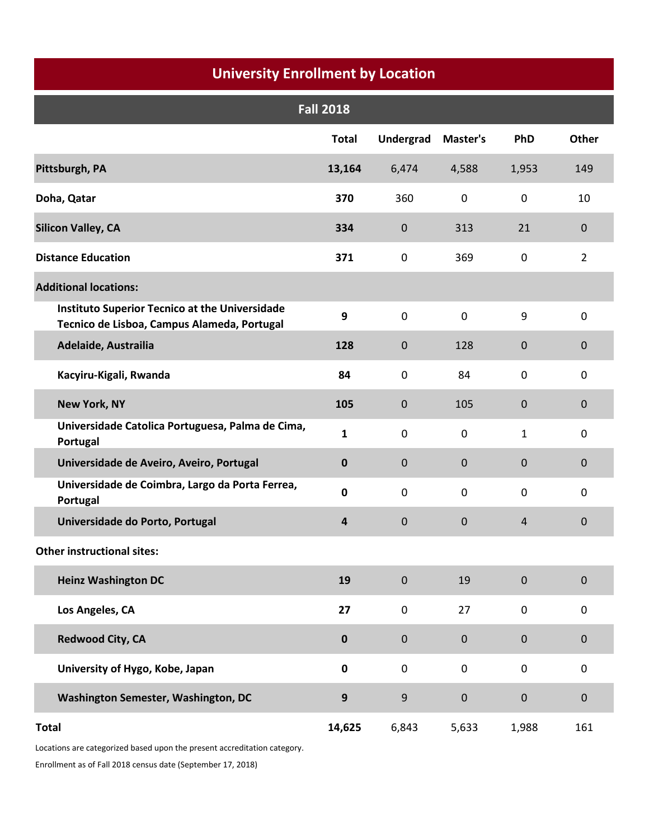#### **University Enrollment by Location**

|                                                                                                      | <b>Fall 2018</b> |                  |             |                |                |
|------------------------------------------------------------------------------------------------------|------------------|------------------|-------------|----------------|----------------|
|                                                                                                      | <b>Total</b>     | <b>Undergrad</b> | Master's    | PhD            | Other          |
| Pittsburgh, PA                                                                                       | 13,164           | 6,474            | 4,588       | 1,953          | 149            |
| Doha, Qatar                                                                                          | 370              | 360              | $\mathbf 0$ | $\mathbf 0$    | 10             |
| <b>Silicon Valley, CA</b>                                                                            | 334              | $\mathbf 0$      | 313         | 21             | $\mathbf 0$    |
| <b>Distance Education</b>                                                                            | 371              | $\mathbf 0$      | 369         | $\mathbf 0$    | $\overline{2}$ |
| <b>Additional locations:</b>                                                                         |                  |                  |             |                |                |
| <b>Instituto Superior Tecnico at the Universidade</b><br>Tecnico de Lisboa, Campus Alameda, Portugal | 9                | $\mathbf 0$      | $\mathbf 0$ | 9              | $\mathbf 0$    |
| Adelaide, Austrailia                                                                                 | 128              | $\mathbf 0$      | 128         | $\mathbf 0$    | 0              |
| Kacyiru-Kigali, Rwanda                                                                               | 84               | $\mathbf 0$      | 84          | $\mathbf 0$    | $\mathbf 0$    |
| <b>New York, NY</b>                                                                                  | 105              | 0                | 105         | $\mathbf{0}$   | 0              |
| Universidade Catolica Portuguesa, Palma de Cima,<br>Portugal                                         | $\mathbf{1}$     | $\mathbf 0$      | $\mathbf 0$ | $\mathbf{1}$   | $\mathbf 0$    |
| Universidade de Aveiro, Aveiro, Portugal                                                             | $\mathbf 0$      | $\mathbf 0$      | $\mathbf 0$ | $\mathbf{0}$   | $\mathbf 0$    |
| Universidade de Coimbra, Largo da Porta Ferrea,<br>Portugal                                          | $\mathbf 0$      | $\mathbf 0$      | $\mathbf 0$ | $\mathbf 0$    | $\mathbf 0$    |
| Universidade do Porto, Portugal                                                                      | 4                | $\mathbf 0$      | $\mathbf 0$ | $\overline{4}$ | $\bf 0$        |
| <b>Other instructional sites:</b>                                                                    |                  |                  |             |                |                |
| <b>Heinz Washington DC</b>                                                                           | 19               | $\mathbf 0$      | 19          | $\pmb{0}$      | $\pmb{0}$      |
| Los Angeles, CA                                                                                      | 27               | $\pmb{0}$        | 27          | $\pmb{0}$      | $\pmb{0}$      |
| <b>Redwood City, CA</b>                                                                              | $\pmb{0}$        | $\mathbf 0$      | $\pmb{0}$   | $\pmb{0}$      | $\bf 0$        |
| University of Hygo, Kobe, Japan                                                                      | $\pmb{0}$        | $\mathbf 0$      | $\pmb{0}$   | $\pmb{0}$      | $\mathbf 0$    |
| Washington Semester, Washington, DC                                                                  | 9                | 9                | $\mathbf 0$ | $\mathbf 0$    | $\bf 0$        |
| <b>Total</b>                                                                                         | 14,625           | 6,843            | 5,633       | 1,988          | 161            |

Enrollment as of Fall 2018 census date (September 17, 2018) Locations are categorized based upon the present accreditation category.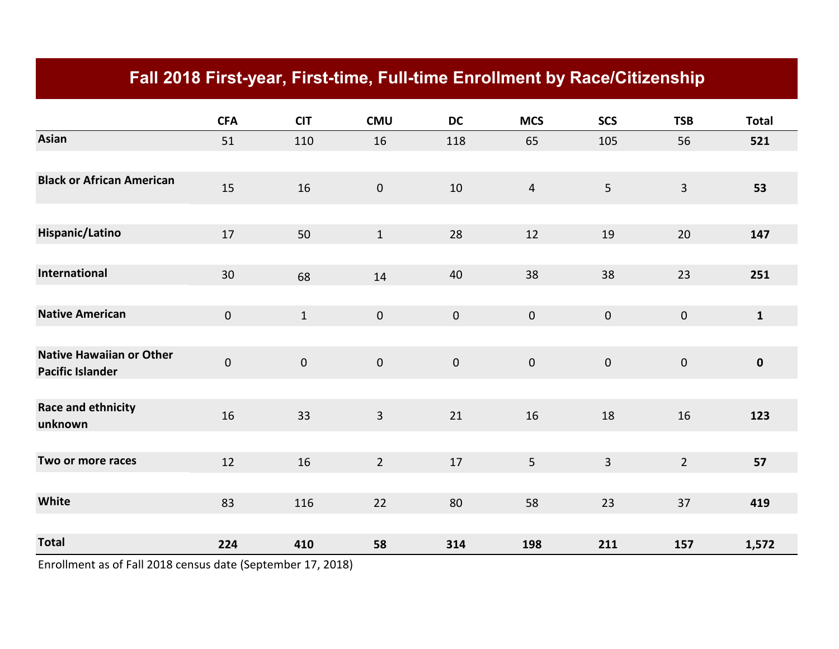# **Fall 2018 First-year, First-time, Full-time Enrollment by Race/Citizenship**

|                                                            | <b>CFA</b>          | <b>CIT</b> | <b>CMU</b>              | <b>DC</b>   | <b>MCS</b>     | <b>SCS</b>     | <b>TSB</b>     | <b>Total</b> |
|------------------------------------------------------------|---------------------|------------|-------------------------|-------------|----------------|----------------|----------------|--------------|
| <b>Asian</b>                                               | 51                  | 110        | 16                      | 118         | 65             | 105            | 56             | 521          |
|                                                            |                     |            |                         |             |                |                |                |              |
| <b>Black or African American</b>                           | 15                  | 16         | $\pmb{0}$               | 10          | $\overline{4}$ | 5 <sub>5</sub> | $\overline{3}$ | 53           |
|                                                            |                     |            |                         |             |                |                |                |              |
| Hispanic/Latino                                            | 17                  | 50         | $\mathbf{1}$            | 28          | 12             | 19             | 20             | 147          |
|                                                            |                     |            |                         |             |                |                |                |              |
| International                                              | $30\,$              | 68         | 14                      | 40          | 38             | 38             | 23             | 251          |
|                                                            |                     |            |                         |             |                |                |                |              |
| <b>Native American</b>                                     | $\mathbf 0$         | $1\,$      | $\mathbf 0$             | $\mathbf 0$ | $\pmb{0}$      | $\mathbf 0$    | $\mathbf 0$    | $\mathbf{1}$ |
|                                                            |                     |            |                         |             |                |                |                |              |
| <b>Native Hawaiian or Other</b><br><b>Pacific Islander</b> | $\mathsf{O}\xspace$ | $\pmb{0}$  | $\mathbf 0$             | $\mathbf 0$ | $\pmb{0}$      | $\mathbf 0$    | $\mathbf 0$    | $\pmb{0}$    |
|                                                            |                     |            |                         |             |                |                |                |              |
| Race and ethnicity<br>unknown                              | 16                  | 33         | $\overline{\mathbf{3}}$ | 21          | 16             | 18             | 16             | 123          |
|                                                            |                     |            |                         |             |                |                |                |              |
| Two or more races                                          | 12                  | 16         | $\overline{2}$          | 17          | 5              | $\mathbf{3}$   | $\overline{2}$ | 57           |
|                                                            |                     |            |                         |             |                |                |                |              |
| White                                                      | 83                  | 116        | 22                      | 80          | 58             | 23             | 37             | 419          |
|                                                            |                     |            |                         |             |                |                |                |              |
| <b>Total</b>                                               | 224                 | 410        | 58                      | 314         | 198            | 211            | 157            | 1,572        |

Enrollment as of Fall 2018 census date (September 17, 2018)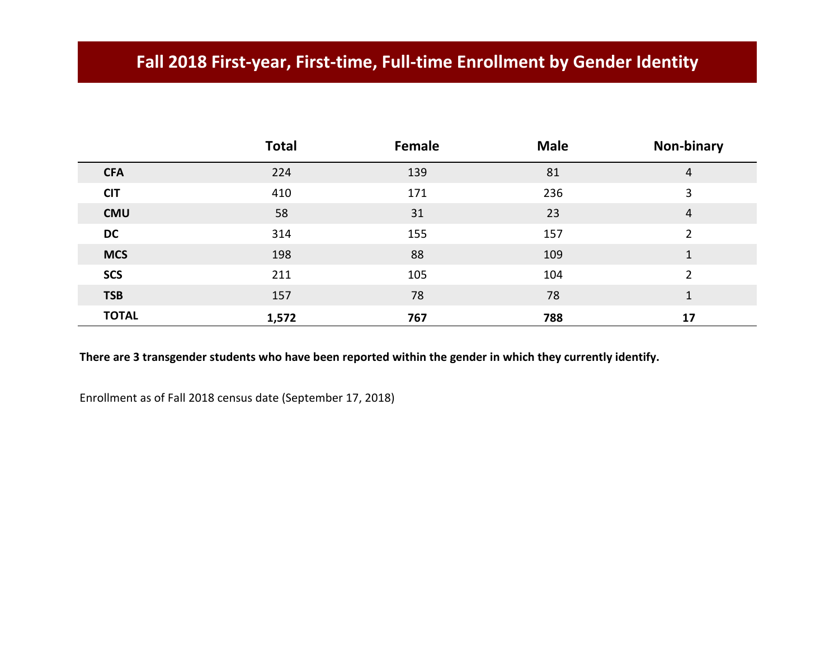## **Fall 2018 First-year, First-time, Full-time Enrollment by Gender Identity**

|              | <b>Total</b> | Female | <b>Male</b> | Non-binary     |
|--------------|--------------|--------|-------------|----------------|
| <b>CFA</b>   | 224          | 139    | 81          | 4              |
| <b>CIT</b>   | 410          | 171    | 236         | 3              |
| <b>CMU</b>   | 58           | 31     | 23          | 4              |
| <b>DC</b>    | 314          | 155    | 157         | $\overline{2}$ |
| <b>MCS</b>   | 198          | 88     | 109         | 1              |
| <b>SCS</b>   | 211          | 105    | 104         | $\overline{2}$ |
| <b>TSB</b>   | 157          | 78     | 78          | 1              |
| <b>TOTAL</b> | 1,572        | 767    | 788         | 17             |

**There are 3 transgender students who have been reported within the gender in which they currently identify.**

Enrollment as of Fall 2018 census date (September 17, 2018)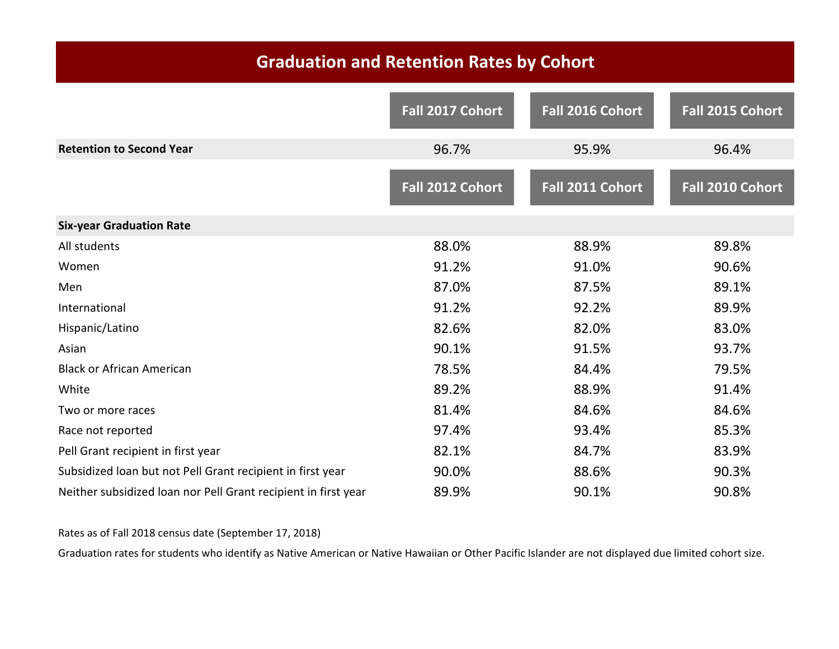# **Graduation and Retention Rates by Cohort**

|                                                                | Fall 2017 Cohort | Fall 2016 Cohort | Fall 2015 Cohort |
|----------------------------------------------------------------|------------------|------------------|------------------|
| <b>Retention to Second Year</b>                                | 96.7%            | 95.9%            | 96.4%            |
|                                                                | Fall 2012 Cohort | Fall 2011 Cohort | Fall 2010 Cohort |
| <b>Six-year Graduation Rate</b>                                |                  |                  |                  |
| All students                                                   | 88.0%            | 88.9%            | 89.8%            |
| Women                                                          | 91.2%            | 91.0%            | 90.6%            |
| Men                                                            | 87.0%            | 87.5%            | 89.1%            |
| International                                                  | 91.2%            | 92.2%            | 89.9%            |
| Hispanic/Latino                                                | 82.6%            | 82.0%            | 83.0%            |
| Asian                                                          | 90.1%            | 91.5%            | 93.7%            |
| <b>Black or African American</b>                               | 78.5%            | 84.4%            | 79.5%            |
| White                                                          | 89.2%            | 88.9%            | 91.4%            |
| Two or more races                                              | 81.4%            | 84.6%            | 84.6%            |
| Race not reported                                              | 97.4%            | 93.4%            | 85.3%            |
| Pell Grant recipient in first year                             | 82.1%            | 84.7%            | 83.9%            |
| Subsidized loan but not Pell Grant recipient in first year     | 90.0%            | 88.6%            | 90.3%            |
| Neither subsidized loan nor Pell Grant recipient in first year | 89.9%            | 90.1%            | 90.8%            |

#### Rates as of Fall 2018 census date (September 17, 2018)

Graduation rates for students who identify as Native American or Native Hawaiian or Other Pacific Islander are not displayed due limited cohort size.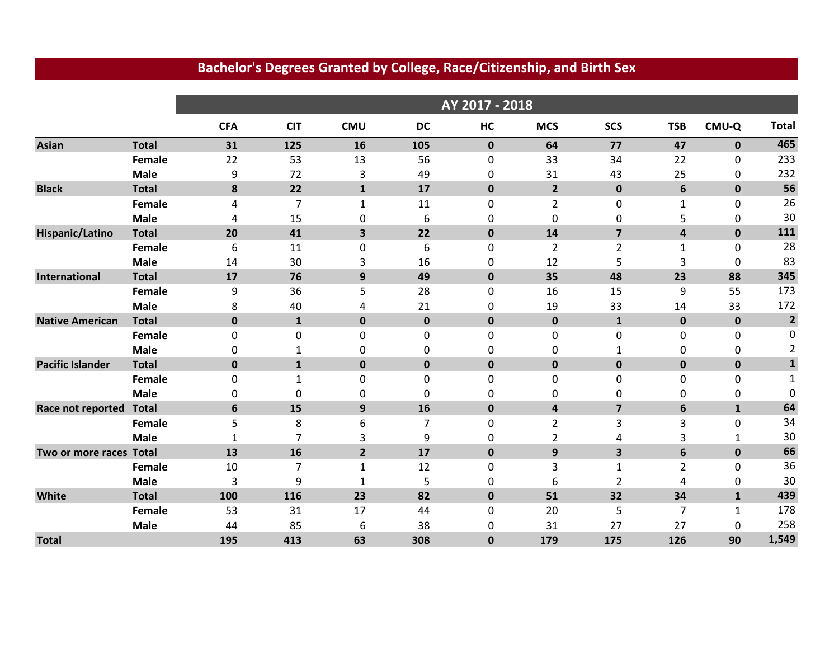|                         |              | AY 2017 - 2018 |                |                |           |             |                         |                |                |              |                         |
|-------------------------|--------------|----------------|----------------|----------------|-----------|-------------|-------------------------|----------------|----------------|--------------|-------------------------|
|                         |              | <b>CFA</b>     | <b>CIT</b>     | <b>CMU</b>     | <b>DC</b> | HC          | <b>MCS</b>              | <b>SCS</b>     | <b>TSB</b>     | CMU-Q        | <b>Total</b>            |
| <b>Asian</b>            | <b>Total</b> | 31             | 125            | 16             | 105       | $\mathbf 0$ | 64                      | 77             | 47             | $\mathbf{0}$ | 465                     |
|                         | Female       | 22             | 53             | 13             | 56        | $\mathbf 0$ | 33                      | 34             | 22             | 0            | 233                     |
|                         | <b>Male</b>  | 9              | 72             | 3              | 49        | 0           | 31                      | 43             | 25             | 0            | 232                     |
| <b>Black</b>            | <b>Total</b> | 8              | 22             | $\mathbf{1}$   | 17        | $\mathbf 0$ | $\overline{2}$          | $\mathbf 0$    | 6              | $\mathbf 0$  | 56                      |
|                         | Female       | 4              | $\overline{7}$ | $\mathbf{1}$   | 11        | $\mathbf 0$ | $\overline{2}$          | $\mathbf 0$    | $\mathbf{1}$   | $\mathbf{0}$ | 26                      |
|                         | <b>Male</b>  | 4              | 15             | 0              | 6         | 0           | 0                       | 0              | 5              | $\mathbf{0}$ | 30                      |
| Hispanic/Latino         | <b>Total</b> | 20             | 41             | 3              | 22        | $\mathbf 0$ | 14                      | $\overline{7}$ | 4              | $\mathbf 0$  | 111                     |
|                         | Female       | 6              | 11             | 0              | 6         | $\mathbf 0$ | $\overline{2}$          | $\overline{2}$ | 1              | 0            | 28                      |
|                         | <b>Male</b>  | 14             | 30             | 3              | 16        | 0           | 12                      | 5              | 3              | $\mathbf{0}$ | 83                      |
| International           | <b>Total</b> | 17             | 76             | 9              | 49        | $\mathbf 0$ | 35                      | 48             | 23             | 88           | 345                     |
|                         | Female       | 9              | 36             | 5              | 28        | 0           | 16                      | 15             | 9              | 55           | 173                     |
|                         | <b>Male</b>  | 8              | 40             | 4              | 21        | 0           | 19                      | 33             | 14             | 33           | 172                     |
| <b>Native American</b>  | <b>Total</b> | $\mathbf 0$    | $\mathbf{1}$   | $\pmb{0}$      | $\pmb{0}$ | $\pmb{0}$   | $\pmb{0}$               | $\mathbf{1}$   | $\mathbf 0$    | $\mathbf 0$  | $\overline{\mathbf{2}}$ |
|                         | Female       | 0              | 0              | 0              | 0         | 0           | 0                       | $\mathbf 0$    | $\mathbf 0$    | 0            | 0                       |
|                         | <b>Male</b>  | 0              | 1              | 0              | 0         | 0           | 0                       | 1              | 0              | 0            | $\overline{2}$          |
| <b>Pacific Islander</b> | <b>Total</b> | $\mathbf{0}$   | $\mathbf{1}$   | $\pmb{0}$      | $\pmb{0}$ | $\mathbf 0$ | $\mathbf 0$             | $\mathbf 0$    | $\mathbf 0$    | $\mathbf 0$  | $\mathbf{1}$            |
|                         | Female       | 0              | 1              | 0              | $\pmb{0}$ | 0           | 0                       | $\mathbf 0$    | $\mathbf 0$    | 0            | 1                       |
|                         | <b>Male</b>  | 0              | 0              | 0              | 0         | 0           | 0                       | 0              | 0              | 0            | 0                       |
| Race not reported       | <b>Total</b> | 6              | 15             | 9              | 16        | $\mathbf 0$ | $\overline{\mathbf{4}}$ | $\overline{7}$ | 6              | $\mathbf{1}$ | 64                      |
|                         | Female       | 5              | 8              | 6              | 7         | 0           | $\overline{2}$          | 3              | 3              | $\mathbf{0}$ | 34                      |
|                         | <b>Male</b>  | $\mathbf{1}$   | 7              | 3              | 9         | 0           | 2                       | 4              | 3              | 1            | 30                      |
| Two or more races Total |              | 13             | 16             | $\overline{2}$ | 17        | $\mathbf 0$ | 9                       | 3              | 6              | $\mathbf 0$  | 66                      |
|                         | Female       | 10             | 7              | $\mathbf{1}$   | 12        | $\pmb{0}$   | 3                       | $\mathbf{1}$   | $\overline{2}$ | $\mathbf 0$  | 36                      |
|                         | <b>Male</b>  | 3              | 9              | 1              | 5         | 0           | 6                       | $\overline{2}$ | 4              | 0            | 30                      |
| White                   | <b>Total</b> | 100            | 116            | 23             | 82        | $\mathbf 0$ | 51                      | 32             | 34             | $\mathbf{1}$ | 439                     |
|                         | Female       | 53             | 31             | 17             | 44        | $\mathbf 0$ | 20                      | 5              | $\overline{7}$ | 1            | 178                     |
|                         | <b>Male</b>  | 44             | 85             | 6              | 38        | 0           | 31                      | 27             | 27             | 0            | 258                     |
| <b>Total</b>            |              | 195            | 413            | 63             | 308       | $\bf{0}$    | 179                     | 175            | 126            | 90           | 1,549                   |

#### **Bachelor's Degrees Granted by College, Race/Citizenship, and Birth Sex**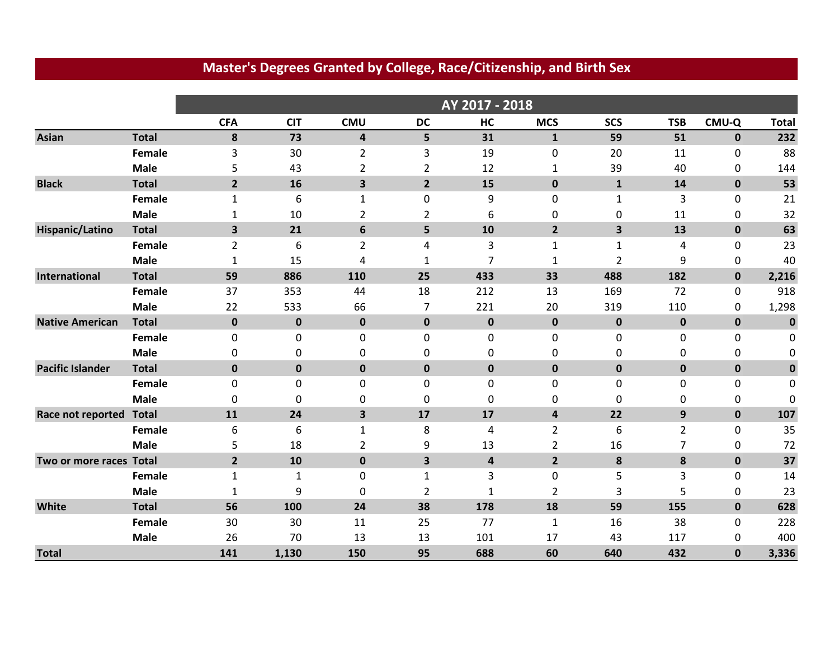|                         |              |                | AY 2017 - 2018 |                         |                         |                         |                |                         |                |              |              |
|-------------------------|--------------|----------------|----------------|-------------------------|-------------------------|-------------------------|----------------|-------------------------|----------------|--------------|--------------|
|                         |              | <b>CFA</b>     | <b>CIT</b>     | <b>CMU</b>              | <b>DC</b>               | HC                      | <b>MCS</b>     | <b>SCS</b>              | <b>TSB</b>     | CMU-Q        | <b>Total</b> |
| <b>Asian</b>            | <b>Total</b> | 8              | 73             | $\overline{\mathbf{4}}$ | 5                       | 31                      | $\mathbf{1}$   | 59                      | 51             | $\mathbf{0}$ | 232          |
|                         | Female       | 3              | 30             | $\overline{2}$          | 3                       | 19                      | 0              | 20                      | 11             | 0            | 88           |
|                         | <b>Male</b>  | 5              | 43             | $\overline{2}$          | $\overline{2}$          | 12                      | 1              | 39                      | 40             | 0            | 144          |
| <b>Black</b>            | <b>Total</b> | $\overline{2}$ | 16             | 3                       | $\overline{2}$          | 15                      | $\mathbf 0$    | $\mathbf{1}$            | 14             | $\mathbf 0$  | 53           |
|                         | Female       | $\mathbf{1}$   | 6              | $\mathbf{1}$            | $\pmb{0}$               | 9                       | 0              | $\mathbf{1}$            | 3              | 0            | 21           |
|                         | <b>Male</b>  | 1              | 10             | $\overline{2}$          | $\overline{2}$          | 6                       | 0              | 0                       | 11             | 0            | 32           |
| Hispanic/Latino         | <b>Total</b> | 3              | 21             | 6                       | 5                       | 10                      | $\overline{2}$ | $\overline{\mathbf{3}}$ | 13             | $\mathbf{0}$ | 63           |
|                         | Female       | $\overline{2}$ | 6              | $\overline{2}$          | 4                       | 3                       | 1              | 1                       | 4              | 0            | 23           |
|                         | <b>Male</b>  | 1              | 15             | 4                       | 1                       | $\overline{7}$          | 1              | $\overline{2}$          | 9              | 0            | 40           |
| International           | <b>Total</b> | 59             | 886            | 110                     | 25                      | 433                     | 33             | 488                     | 182            | $\mathbf{0}$ | 2,216        |
|                         | Female       | 37             | 353            | 44                      | 18                      | 212                     | 13             | 169                     | 72             | 0            | 918          |
|                         | <b>Male</b>  | 22             | 533            | 66                      | 7                       | 221                     | 20             | 319                     | 110            | 0            | 1,298        |
| <b>Native American</b>  | <b>Total</b> | $\mathbf 0$    | $\mathbf 0$    | $\pmb{0}$               | $\mathbf 0$             | $\mathbf 0$             | $\mathbf 0$    | $\pmb{0}$               | $\bf{0}$       | $\mathbf 0$  | $\mathbf 0$  |
|                         | Female       | 0              | 0              | 0                       | 0                       | 0                       | 0              | 0                       | 0              | 0            | 0            |
|                         | <b>Male</b>  | 0              | 0              | 0                       | 0                       | $\Omega$                | 0              | 0                       | 0              | 0            | 0            |
| <b>Pacific Islander</b> | <b>Total</b> | $\bf{0}$       | $\pmb{0}$      | $\pmb{0}$               | $\pmb{0}$               | $\mathbf 0$             | $\mathbf 0$    | $\pmb{0}$               | $\bf{0}$       | $\pmb{0}$    | $\bf{0}$     |
|                         | Female       | 0              | 0              | 0                       | 0                       | 0                       | 0              | 0                       | $\mathbf 0$    | 0            | 0            |
|                         | <b>Male</b>  | $\mathbf 0$    | 0              | 0                       | 0                       | $\mathbf 0$             | 0              | $\mathbf 0$             | 0              | 0            | 0            |
| Race not reported       | <b>Total</b> | 11             | 24             | 3                       | 17                      | 17                      | 4              | 22                      | 9              | $\mathbf 0$  | 107          |
|                         | Female       | 6              | 6              | $\mathbf 1$             | 8                       | 4                       | $\overline{2}$ | 6                       | $\overline{2}$ | $\mathbf 0$  | 35           |
|                         | <b>Male</b>  | 5              | 18             | $\overline{2}$          | 9                       | 13                      | $\overline{2}$ | 16                      | 7              | 0            | 72           |
| Two or more races Total |              | $\overline{2}$ | 10             | $\pmb{0}$               | $\overline{\mathbf{3}}$ | $\overline{\mathbf{4}}$ | $\overline{2}$ | 8                       | 8              | $\pmb{0}$    | 37           |
|                         | Female       | $\mathbf{1}$   | $\mathbf{1}$   | 0                       | $\mathbf{1}$            | 3                       | 0              | 5                       | 3              | 0            | 14           |
|                         | <b>Male</b>  | 1              | 9              | $\boldsymbol{0}$        | $\overline{2}$          | $\mathbf{1}$            | $\overline{2}$ | 3                       | 5              | 0            | 23           |
| White                   | <b>Total</b> | 56             | 100            | 24                      | 38                      | 178                     | 18             | 59                      | 155            | $\mathbf 0$  | 628          |
|                         | Female       | 30             | 30             | 11                      | 25                      | 77                      | 1              | 16                      | 38             | 0            | 228          |
|                         | <b>Male</b>  | 26             | 70             | 13                      | 13                      | 101                     | 17             | 43                      | 117            | 0            | 400          |
| <b>Total</b>            |              | 141            | 1,130          | 150                     | 95                      | 688                     | 60             | 640                     | 432            | $\mathbf{0}$ | 3,336        |

#### **Master's Degrees Granted by College, Race/Citizenship, and Birth Sex**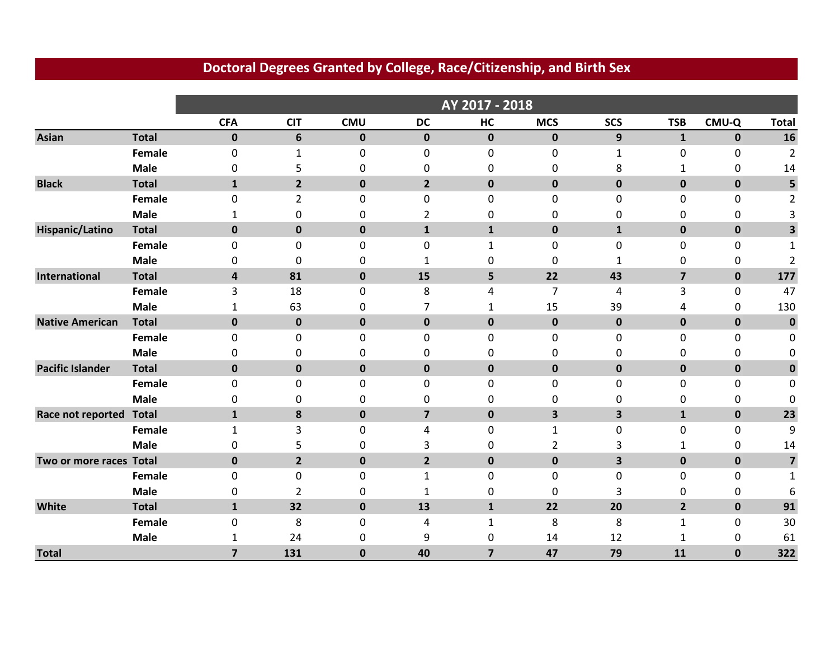|                         |               | AY 2017 - 2018   |                |             |                         |                         |                         |                         |                         |             |                         |
|-------------------------|---------------|------------------|----------------|-------------|-------------------------|-------------------------|-------------------------|-------------------------|-------------------------|-------------|-------------------------|
|                         |               | <b>CFA</b>       | <b>CIT</b>     | <b>CMU</b>  | <b>DC</b>               | HC                      | <b>MCS</b>              | <b>SCS</b>              | <b>TSB</b>              | CMU-Q       | <b>Total</b>            |
| <b>Asian</b>            | <b>Total</b>  | $\mathbf 0$      | 6              | $\pmb{0}$   | $\mathbf 0$             | $\mathbf 0$             | $\mathbf 0$             | 9                       | $\mathbf{1}$            | $\mathbf 0$ | 16                      |
|                         | Female        | $\boldsymbol{0}$ | 1              | 0           | $\pmb{0}$               | $\mathbf 0$             | 0                       | $\mathbf{1}$            | $\pmb{0}$               | 0           | $\overline{2}$          |
|                         | <b>Male</b>   | 0                | 5              | 0           | 0                       | 0                       | 0                       | 8                       | 1                       | 0           | 14                      |
| <b>Black</b>            | <b>Total</b>  | $\mathbf{1}$     | $\overline{2}$ | $\mathbf 0$ | $\overline{2}$          | $\mathbf 0$             | $\mathbf 0$             | $\mathbf 0$             | $\mathbf 0$             | $\mathbf 0$ | 5                       |
|                         | Female        | 0                | $\overline{2}$ | 0           | $\pmb{0}$               | $\mathbf 0$             | 0                       | 0                       | 0                       | 0           | 2                       |
|                         | <b>Male</b>   | 1                | 0              | 0           | 2                       | 0                       | 0                       | 0                       | 0                       | 0           | 3                       |
| Hispanic/Latino         | <b>Total</b>  | $\bf{0}$         | $\mathbf 0$    | $\pmb{0}$   | ${\bf 1}$               | $\mathbf{1}$            | $\mathbf 0$             | $\mathbf{1}$            | $\mathbf 0$             | $\mathbf 0$ | 3                       |
|                         | Female        | 0                | 0              | 0           | 0                       | 1                       | 0                       | 0                       | 0                       | 0           | 1                       |
|                         | <b>Male</b>   | 0                | 0              | 0           | 1                       | 0                       | 0                       | $\mathbf{1}$            | 0                       | 0           | $\overline{2}$          |
| International           | <b>Total</b>  | 4                | 81             | $\mathbf 0$ | 15                      | 5                       | 22                      | 43                      | $\overline{\mathbf{z}}$ | $\mathbf 0$ | 177                     |
|                         | Female        | 3                | 18             | 0           | 8                       | 4                       | $\overline{7}$          | 4                       | 3                       | 0           | 47                      |
|                         | <b>Male</b>   | 1                | 63             | 0           | 7                       | 1                       | 15                      | 39                      | 4                       | 0           | 130                     |
| <b>Native American</b>  | <b>Total</b>  | $\bf{0}$         | $\mathbf 0$    | $\mathbf 0$ | $\pmb{0}$               | $\mathbf 0$             | $\mathbf 0$             | $\mathbf 0$             | $\mathbf 0$             | $\mathbf 0$ | $\bf{0}$                |
|                         | Female        | $\mathbf 0$      | 0              | 0           | 0                       | $\mathbf 0$             | 0                       | 0                       | 0                       | 0           | 0                       |
|                         | <b>Male</b>   | 0                | 0              | 0           | 0                       | 0                       | 0                       | 0                       | 0                       | 0           | 0                       |
| <b>Pacific Islander</b> | <b>Total</b>  | $\mathbf{0}$     | $\mathbf 0$    | $\pmb{0}$   | $\pmb{0}$               | $\mathbf 0$             | $\mathbf 0$             | $\mathbf 0$             | $\mathbf 0$             | $\mathbf 0$ | $\bf{0}$                |
|                         | Female        | 0                | 0              | 0           | 0                       | 0                       | 0                       | 0                       | 0                       | 0           | 0                       |
|                         | <b>Male</b>   | 0                | 0              | 0           | 0                       | 0                       | 0                       | 0                       | 0                       | 0           | 0                       |
| Race not reported       | <b>Total</b>  | $\mathbf 1$      | 8              | $\pmb{0}$   | $\overline{\mathbf{z}}$ | $\mathbf 0$             | $\overline{\mathbf{3}}$ | $\overline{\mathbf{3}}$ | $\mathbf{1}$            | $\mathbf 0$ | 23                      |
|                         | Female        | 1                | 3              | 0           | 4                       | 0                       | 1                       | 0                       | 0                       | 0           | 9                       |
|                         | <b>Male</b>   | 0                | 5              | 0           | 3                       | 0                       | $\overline{2}$          | 3                       | $\mathbf{1}$            | 0           | 14                      |
| Two or more races Total |               | $\mathbf 0$      | $\overline{2}$ | $\pmb{0}$   | $\overline{2}$          | $\pmb{0}$               | $\mathbf 0$             | 3                       | $\mathbf 0$             | $\mathbf 0$ | $\overline{\mathbf{z}}$ |
|                         | Female        | 0                | 0              | 0           | $\mathbf{1}$            | 0                       | 0                       | $\mathbf 0$             | 0                       | 0           | 1                       |
|                         | <b>Male</b>   | 0                | 2              | 0           | 1                       | 0                       | 0                       | 3                       | 0                       | 0           | 6                       |
| White                   | <b>Total</b>  | $\mathbf{1}$     | 32             | $\pmb{0}$   | 13                      | $\mathbf{1}$            | 22                      | 20                      | $\overline{2}$          | $\mathbf 0$ | 91                      |
|                         | <b>Female</b> | 0                | 8              | 0           | 4                       | $\mathbf{1}$            | 8                       | 8                       | $\mathbf{1}$            | 0           | 30                      |
|                         | <b>Male</b>   | 1                | 24             | 0           | 9                       | 0                       | 14                      | 12                      | 1                       | 0           | 61                      |
| <b>Total</b>            |               | $\overline{7}$   | 131            | $\bf{0}$    | 40                      | $\overline{\mathbf{z}}$ | 47                      | 79                      | 11                      | $\bf{0}$    | 322                     |

#### **Doctoral Degrees Granted by College, Race/Citizenship, and Birth Sex**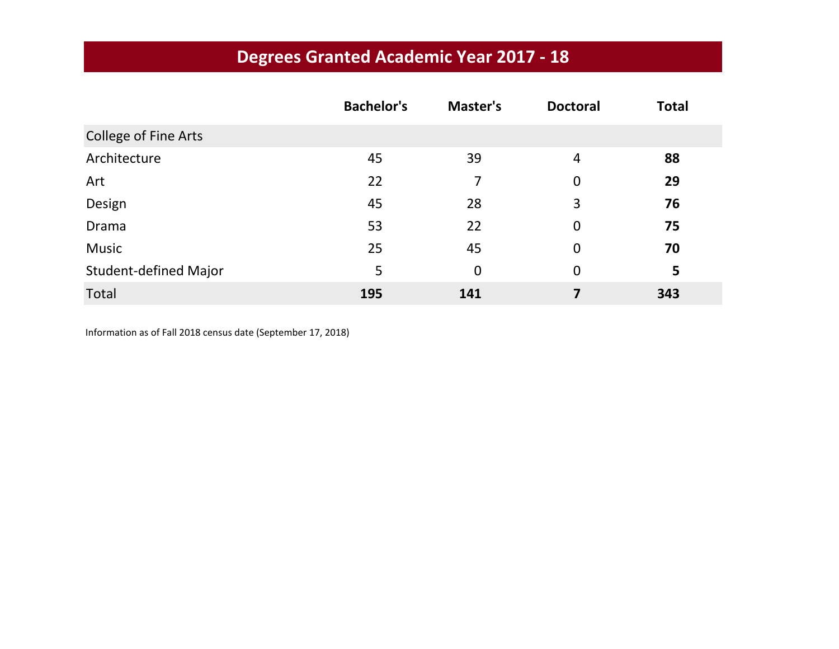|                              | <b>Bachelor's</b> | Master's    | <b>Doctoral</b> | <b>Total</b> |
|------------------------------|-------------------|-------------|-----------------|--------------|
| <b>College of Fine Arts</b>  |                   |             |                 |              |
| Architecture                 | 45                | 39          | 4               | 88           |
| Art                          | 22                | 7           | $\mathbf 0$     | 29           |
| Design                       | 45                | 28          | 3               | 76           |
| Drama                        | 53                | 22          | $\mathbf 0$     | 75           |
| <b>Music</b>                 | 25                | 45          | $\mathbf 0$     | 70           |
| <b>Student-defined Major</b> | 5                 | $\mathbf 0$ | $\overline{0}$  | 5            |
| Total                        | 195               | 141         | 7               | 343          |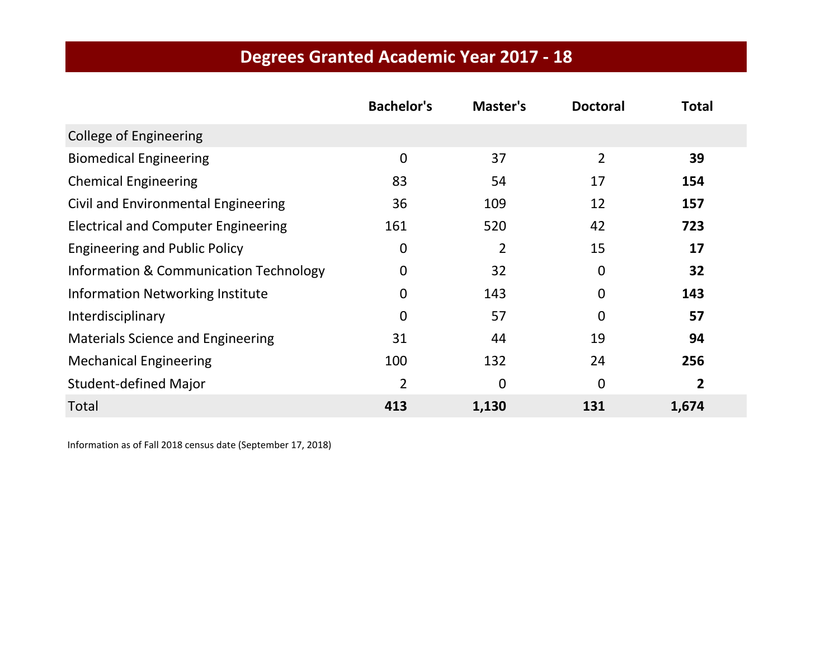|                                            | <b>Bachelor's</b> | Master's    | <b>Doctoral</b> | <b>Total</b> |
|--------------------------------------------|-------------------|-------------|-----------------|--------------|
| <b>College of Engineering</b>              |                   |             |                 |              |
| <b>Biomedical Engineering</b>              | $\overline{0}$    | 37          | $\overline{2}$  | 39           |
| <b>Chemical Engineering</b>                | 83                | 54          | 17              | 154          |
| Civil and Environmental Engineering        | 36                | 109         | 12              | 157          |
| <b>Electrical and Computer Engineering</b> | 161               | 520         | 42              | 723          |
| <b>Engineering and Public Policy</b>       | $\mathbf 0$       | 2           | 15              | 17           |
| Information & Communication Technology     | 0                 | 32          | $\mathbf 0$     | 32           |
| <b>Information Networking Institute</b>    | $\mathbf{0}$      | 143         | $\mathbf 0$     | 143          |
| Interdisciplinary                          | 0                 | 57          | $\mathbf 0$     | 57           |
| <b>Materials Science and Engineering</b>   | 31                | 44          | 19              | 94           |
| <b>Mechanical Engineering</b>              | 100               | 132         | 24              | 256          |
| <b>Student-defined Major</b>               | $\overline{2}$    | $\mathbf 0$ | $\mathbf 0$     | 2            |
| Total                                      | 413               | 1,130       | 131             | 1,674        |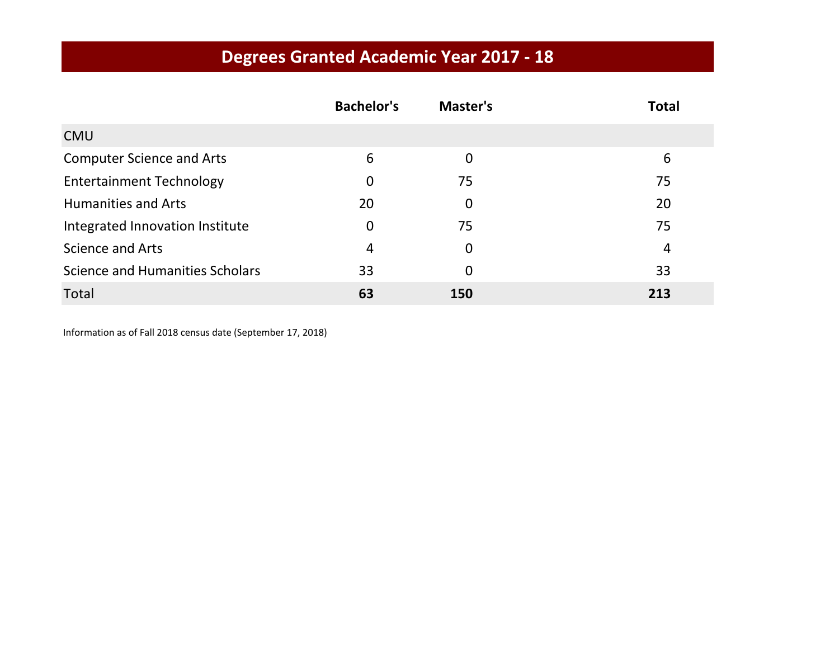|                                  | <b>Bachelor's</b> | Master's | <b>Total</b> |
|----------------------------------|-------------------|----------|--------------|
| <b>CMU</b>                       |                   |          |              |
| <b>Computer Science and Arts</b> | 6                 | 0        | 6            |
| <b>Entertainment Technology</b>  | 0                 | 75       | 75           |
| <b>Humanities and Arts</b>       | 20                | 0        | 20           |
| Integrated Innovation Institute  | 0                 | 75       | 75           |
| Science and Arts                 | 4                 | 0        | 4            |
| Science and Humanities Scholars  | 33                | 0        | 33           |
| Total                            | 63                | 150      | 213          |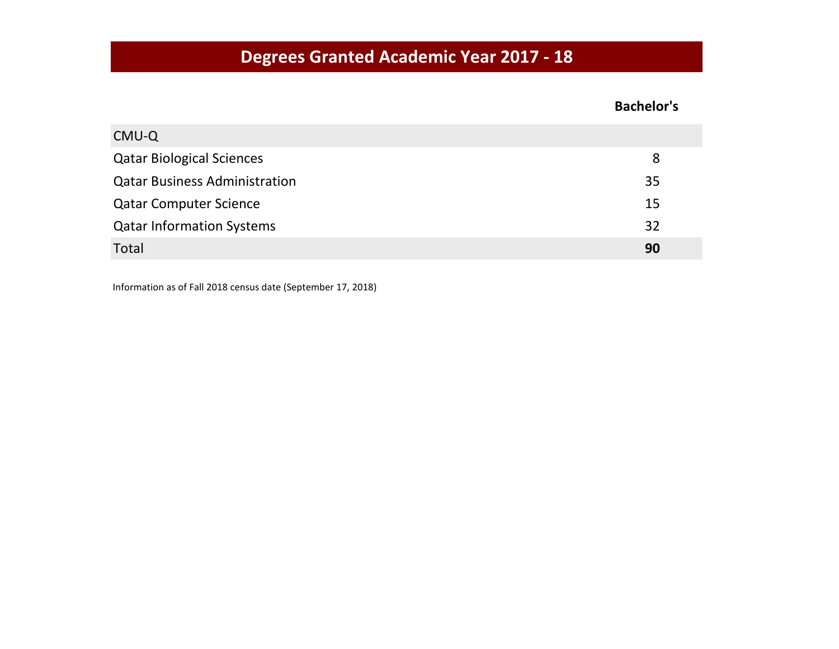#### **Bachelor's**

| CMU-Q                                |    |
|--------------------------------------|----|
| <b>Qatar Biological Sciences</b>     | 8  |
| <b>Qatar Business Administration</b> | 35 |
| <b>Qatar Computer Science</b>        | 15 |
| <b>Qatar Information Systems</b>     | 32 |
| Total                                | 90 |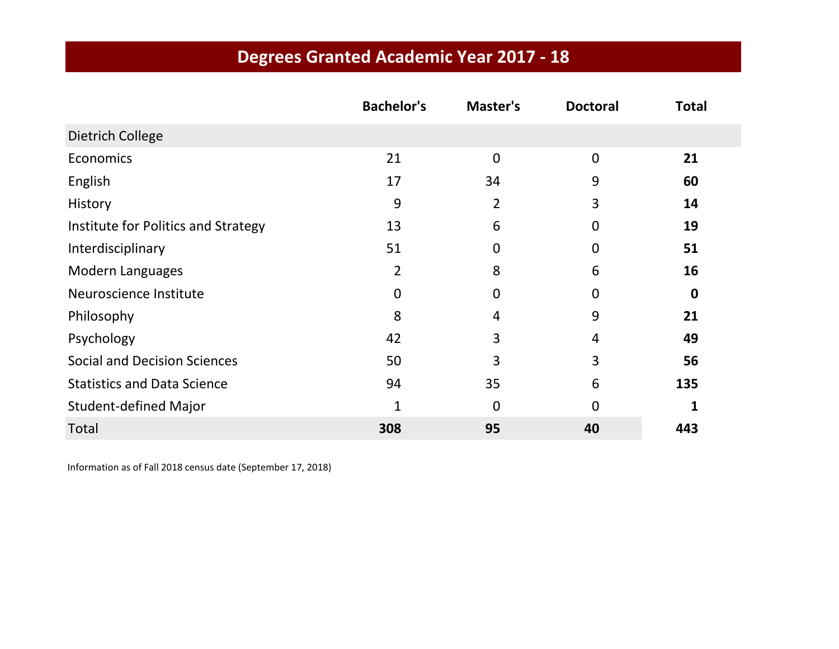|                                     | <b>Bachelor's</b> | Master's       | <b>Doctoral</b> | <b>Total</b> |
|-------------------------------------|-------------------|----------------|-----------------|--------------|
| Dietrich College                    |                   |                |                 |              |
| Economics                           | 21                | $\mathbf 0$    | $\overline{0}$  | 21           |
| English                             | 17                | 34             | 9               | 60           |
| History                             | 9                 | $\overline{2}$ | 3               | 14           |
| Institute for Politics and Strategy | 13                | 6              | 0               | 19           |
| Interdisciplinary                   | 51                | 0              | 0               | 51           |
| <b>Modern Languages</b>             | 2                 | 8              | 6               | 16           |
| Neuroscience Institute              | $\mathbf 0$       | 0              | 0               | $\mathbf 0$  |
| Philosophy                          | 8                 | 4              | 9               | 21           |
| Psychology                          | 42                | 3              | 4               | 49           |
| <b>Social and Decision Sciences</b> | 50                | 3              | 3               | 56           |
| <b>Statistics and Data Science</b>  | 94                | 35             | 6               | 135          |
| <b>Student-defined Major</b>        | 1                 | $\overline{0}$ | 0               | 1            |
| Total                               | 308               | 95             | 40              | 443          |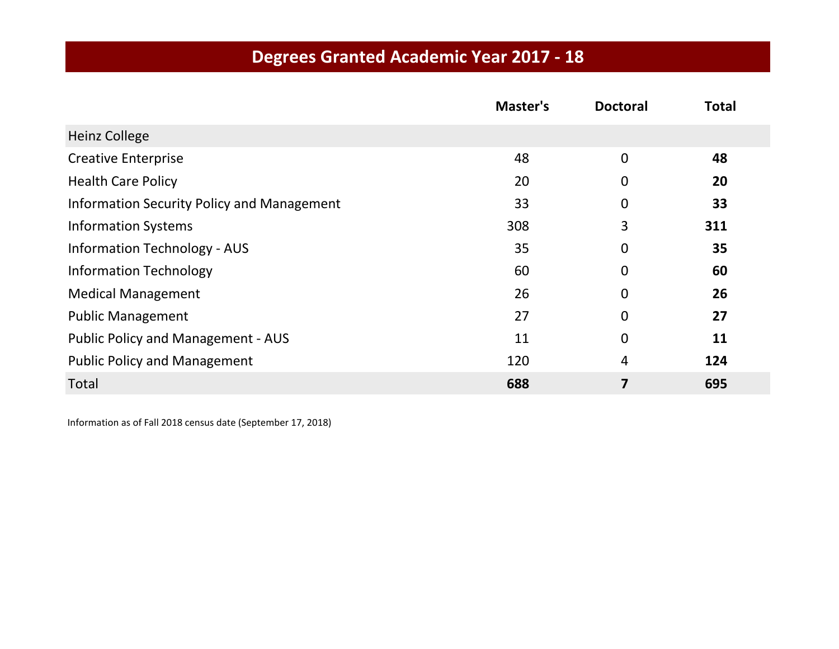|                                                   | Master's | <b>Doctoral</b> | <b>Total</b> |
|---------------------------------------------------|----------|-----------------|--------------|
| <b>Heinz College</b>                              |          |                 |              |
| <b>Creative Enterprise</b>                        | 48       | $\mathbf 0$     | 48           |
| <b>Health Care Policy</b>                         | 20       | 0               | 20           |
| <b>Information Security Policy and Management</b> | 33       | $\overline{0}$  | 33           |
| <b>Information Systems</b>                        | 308      | 3               | 311          |
| <b>Information Technology - AUS</b>               | 35       | $\overline{0}$  | 35           |
| <b>Information Technology</b>                     | 60       | $\mathbf 0$     | 60           |
| <b>Medical Management</b>                         | 26       | 0               | 26           |
| <b>Public Management</b>                          | 27       | $\overline{0}$  | 27           |
| <b>Public Policy and Management - AUS</b>         | 11       | $\overline{0}$  | 11           |
| <b>Public Policy and Management</b>               | 120      | 4               | 124          |
| Total                                             | 688      | 7               | 695          |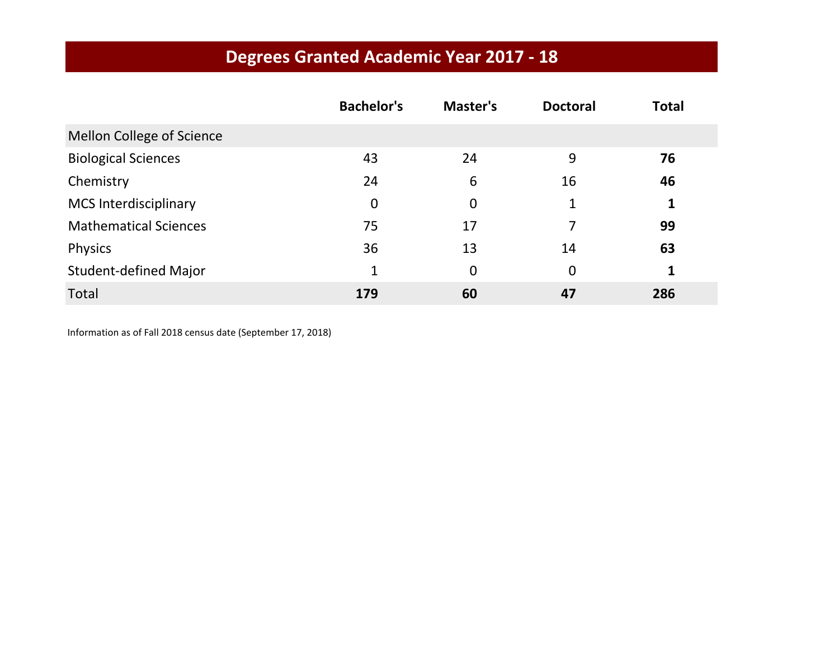|                              | <b>Bachelor's</b> | Master's    | <b>Doctoral</b> | <b>Total</b> |
|------------------------------|-------------------|-------------|-----------------|--------------|
| Mellon College of Science    |                   |             |                 |              |
| <b>Biological Sciences</b>   | 43                | 24          | 9               | 76           |
| Chemistry                    | 24                | 6           | 16              | 46           |
| <b>MCS Interdisciplinary</b> | $\mathbf 0$       | $\mathbf 0$ |                 | 1            |
| <b>Mathematical Sciences</b> | 75                | 17          | 7               | 99           |
| <b>Physics</b>               | 36                | 13          | 14              | 63           |
| <b>Student-defined Major</b> | 1                 | $\mathbf 0$ | 0               | 1            |
| Total                        | 179               | 60          | 47              | 286          |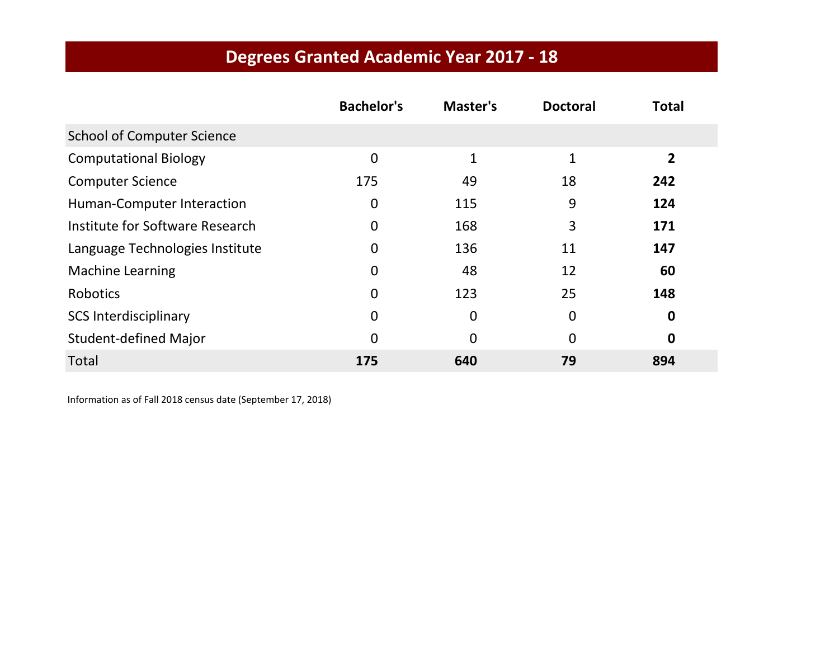|                                   | <b>Bachelor's</b> | Master's     | <b>Doctoral</b> | <b>Total</b> |
|-----------------------------------|-------------------|--------------|-----------------|--------------|
| <b>School of Computer Science</b> |                   |              |                 |              |
| <b>Computational Biology</b>      | $\overline{0}$    | $\mathbf{1}$ | 1               | 2            |
| <b>Computer Science</b>           | 175               | 49           | 18              | 242          |
| Human-Computer Interaction        | 0                 | 115          | 9               | 124          |
| Institute for Software Research   | $\overline{0}$    | 168          | 3               | 171          |
| Language Technologies Institute   | 0                 | 136          | 11              | 147          |
| <b>Machine Learning</b>           | 0                 | 48           | 12              | 60           |
| Robotics                          | $\overline{0}$    | 123          | 25              | 148          |
| <b>SCS Interdisciplinary</b>      | 0                 | $\Omega$     | 0               | 0            |
| <b>Student-defined Major</b>      | $\Omega$          | $\Omega$     | 0               | $\mathbf 0$  |
| <b>Total</b>                      | 175               | 640          | 79              | 894          |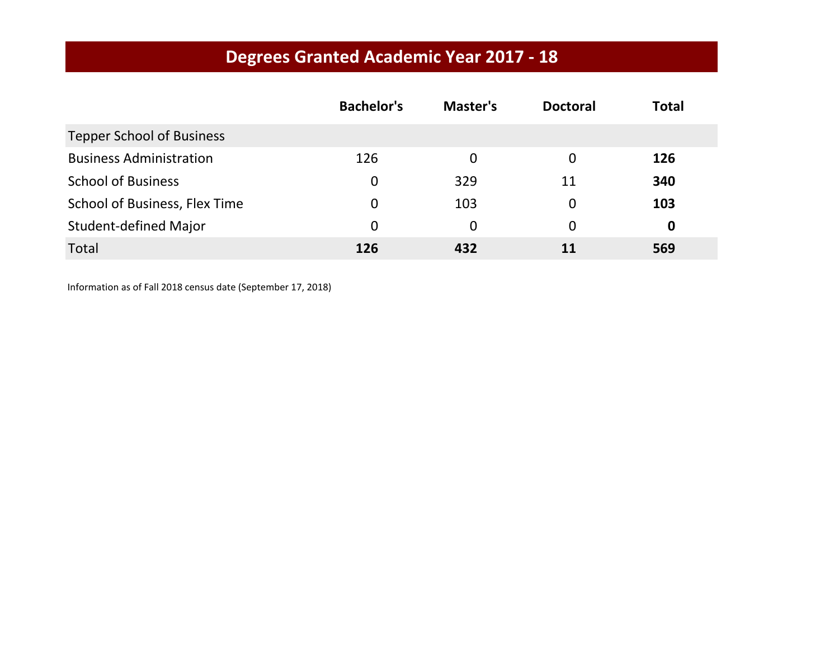|                                  | <b>Bachelor's</b> | Master's    | <b>Doctoral</b> | <b>Total</b> |
|----------------------------------|-------------------|-------------|-----------------|--------------|
| <b>Tepper School of Business</b> |                   |             |                 |              |
| <b>Business Administration</b>   | 126               | 0           | 0               | 126          |
| <b>School of Business</b>        | 0                 | 329         | 11              | 340          |
| School of Business, Flex Time    | $\Omega$          | 103         | 0               | 103          |
| <b>Student-defined Major</b>     | $\Omega$          | $\mathbf 0$ | 0               | 0            |
| Total                            | 126               | 432         | 11              | 569          |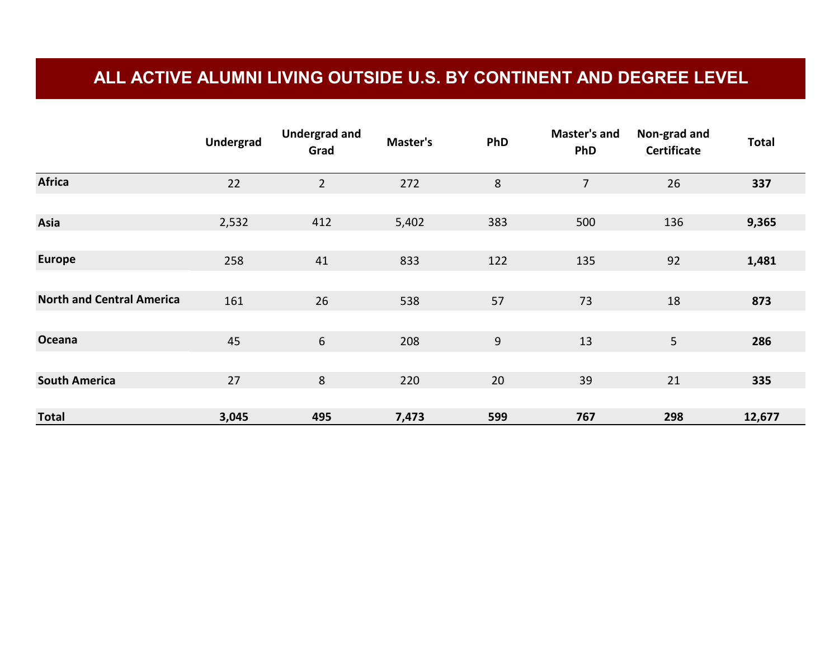#### **ALL ACTIVE ALUMNI LIVING OUTSIDE U.S. BY CONTINENT AND DEGREE LEVEL**

|                                  | <b>Undergrad</b> | <b>Undergrad and</b><br>Grad | Master's | PhD | <b>Master's and</b><br><b>PhD</b> | Non-grad and<br><b>Certificate</b> | <b>Total</b> |
|----------------------------------|------------------|------------------------------|----------|-----|-----------------------------------|------------------------------------|--------------|
| <b>Africa</b>                    | 22               | $\overline{2}$               | 272      | 8   | $\overline{7}$                    | 26                                 | 337          |
|                                  |                  |                              |          |     |                                   |                                    |              |
| Asia                             | 2,532            | 412                          | 5,402    | 383 | 500                               | 136                                | 9,365        |
|                                  |                  |                              |          |     |                                   |                                    |              |
| <b>Europe</b>                    | 258              | 41                           | 833      | 122 | 135                               | 92                                 | 1,481        |
|                                  |                  |                              |          |     |                                   |                                    |              |
| <b>North and Central America</b> | 161              | 26                           | 538      | 57  | 73                                | 18                                 | 873          |
|                                  |                  |                              |          |     |                                   |                                    |              |
| Oceana                           | 45               | 6                            | 208      | 9   | 13                                | 5 <sub>1</sub>                     | 286          |
|                                  |                  |                              |          |     |                                   |                                    |              |
| <b>South America</b>             | 27               | $\,8\,$                      | 220      | 20  | 39                                | 21                                 | 335          |
|                                  |                  |                              |          |     |                                   |                                    |              |
| <b>Total</b>                     | 3,045            | 495                          | 7,473    | 599 | 767                               | 298                                | 12,677       |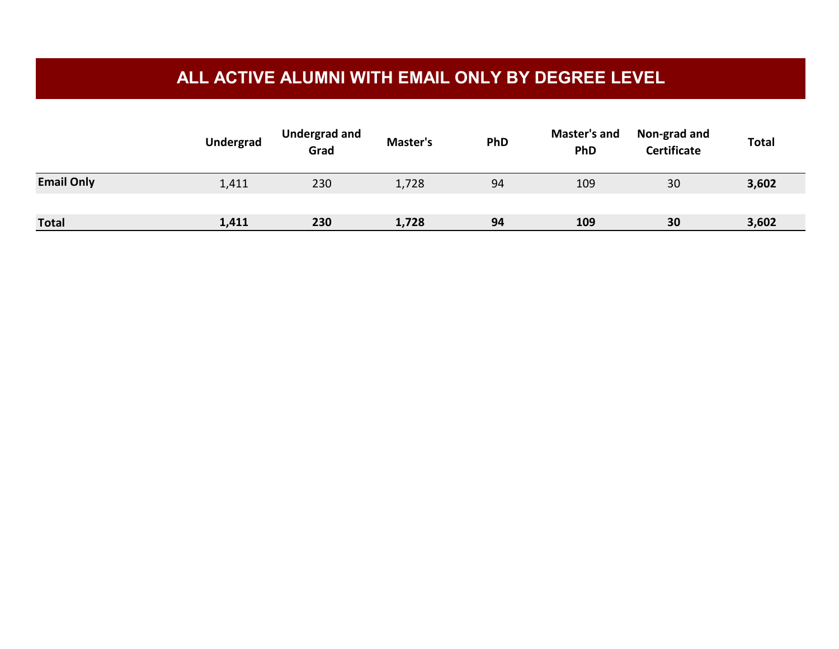#### **ALL ACTIVE ALUMNI WITH EMAIL ONLY BY DEGREE LEVEL**

|                   | <b>Undergrad</b> | <b>Undergrad and</b><br>Grad | Master's | PhD | <b>Master's and</b><br><b>PhD</b> | Non-grad and<br><b>Certificate</b> | <b>Total</b> |
|-------------------|------------------|------------------------------|----------|-----|-----------------------------------|------------------------------------|--------------|
| <b>Email Only</b> | 1,411            | 230                          | 1,728    | 94  | 109                               | 30                                 | 3,602        |
|                   |                  |                              |          |     |                                   |                                    |              |
| <b>Total</b>      | 1,411            | 230                          | 1,728    | 94  | 109                               | 30                                 | 3,602        |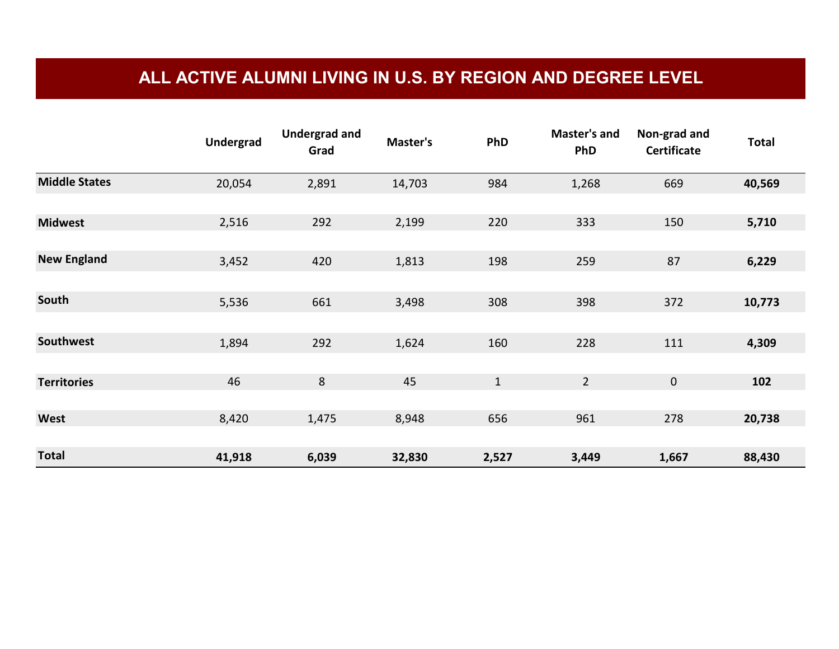#### **ALL ACTIVE ALUMNI LIVING IN U.S. BY REGION AND DEGREE LEVEL**

|                      | <b>Undergrad</b> | <b>Undergrad and</b><br>Grad | Master's | PhD   | <b>Master's and</b><br><b>PhD</b> | Non-grad and<br><b>Certificate</b> | <b>Total</b> |
|----------------------|------------------|------------------------------|----------|-------|-----------------------------------|------------------------------------|--------------|
| <b>Middle States</b> | 20,054           | 2,891                        | 14,703   | 984   | 1,268                             | 669                                | 40,569       |
| <b>Midwest</b>       | 2,516            | 292                          | 2,199    | 220   | 333                               | 150                                | 5,710        |
| <b>New England</b>   | 3,452            | 420                          | 1,813    | 198   | 259                               | 87                                 | 6,229        |
| South                | 5,536            | 661                          | 3,498    | 308   | 398                               | 372                                | 10,773       |
| Southwest            | 1,894            | 292                          | 1,624    | 160   | 228                               | 111                                | 4,309        |
| <b>Territories</b>   | 46               | 8                            | 45       | $1\,$ | $\overline{2}$                    | $\mathbf 0$                        | 102          |
| West                 | 8,420            | 1,475                        | 8,948    | 656   | 961                               | 278                                | 20,738       |
| <b>Total</b>         | 41,918           | 6,039                        | 32,830   | 2,527 | 3,449                             | 1,667                              | 88,430       |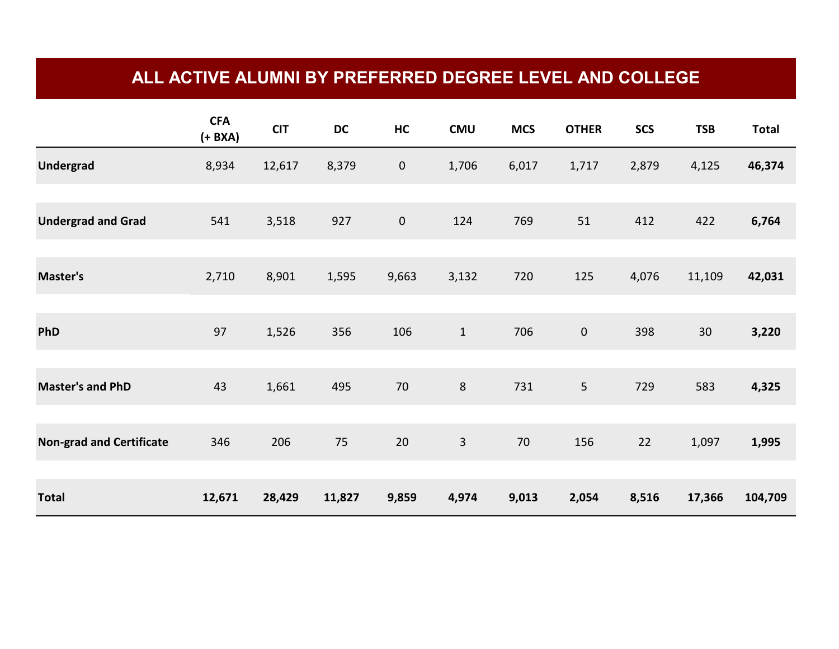#### **ALL ACTIVE ALUMNI BY PREFERRED DEGREE LEVEL AND COLLEGE**

|                                 | <b>CFA</b><br>$(+ BXA)$ | <b>CIT</b> | DC     | HC        | <b>CMU</b>   | <b>MCS</b> | <b>OTHER</b>   | <b>SCS</b> | <b>TSB</b> | <b>Total</b> |
|---------------------------------|-------------------------|------------|--------|-----------|--------------|------------|----------------|------------|------------|--------------|
| <b>Undergrad</b>                | 8,934                   | 12,617     | 8,379  | $\pmb{0}$ | 1,706        | 6,017      | 1,717          | 2,879      | 4,125      | 46,374       |
| <b>Undergrad and Grad</b>       | 541                     | 3,518      | 927    | $\pmb{0}$ | 124          | 769        | 51             | 412        | 422        | 6,764        |
| Master's                        | 2,710                   | 8,901      | 1,595  | 9,663     | 3,132        | 720        | 125            | 4,076      | 11,109     | 42,031       |
| PhD                             | 97                      | 1,526      | 356    | 106       | $1\,$        | 706        | $\mathbf 0$    | 398        | 30         | 3,220        |
| <b>Master's and PhD</b>         | 43                      | 1,661      | 495    | 70        | $\bf 8$      | 731        | $5\phantom{.}$ | 729        | 583        | 4,325        |
| <b>Non-grad and Certificate</b> | 346                     | 206        | 75     | 20        | $\mathbf{3}$ | 70         | 156            | 22         | 1,097      | 1,995        |
| <b>Total</b>                    | 12,671                  | 28,429     | 11,827 | 9,859     | 4,974        | 9,013      | 2,054          | 8,516      | 17,366     | 104,709      |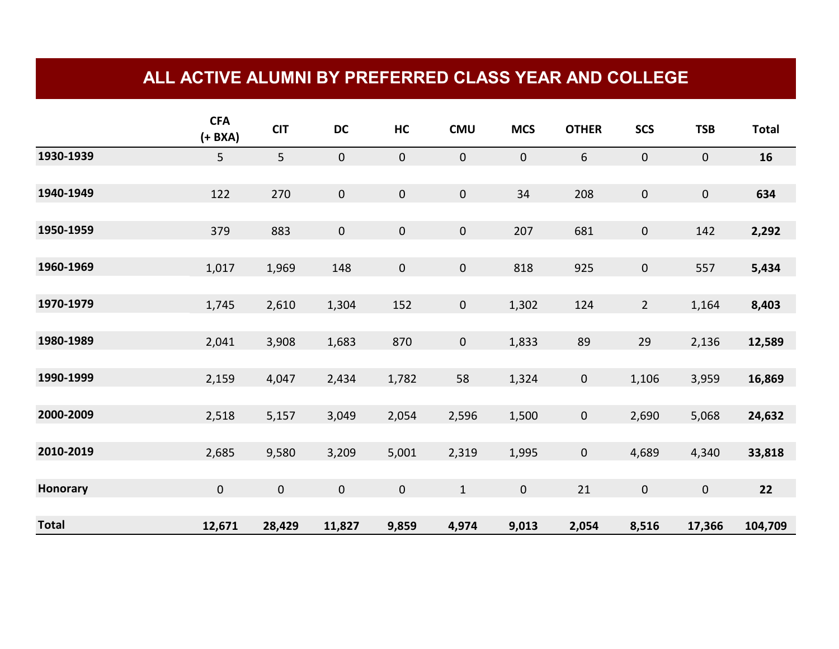#### **ALL ACTIVE ALUMNI BY PREFERRED CLASS YEAR AND COLLEGE**

|                 | <b>CFA</b><br>$(+ BXA)$ | <b>CIT</b>     | DC                  | HC          | <b>CMU</b>  | <b>MCS</b>  | <b>OTHER</b> | <b>SCS</b>          | <b>TSB</b> | <b>Total</b> |
|-----------------|-------------------------|----------------|---------------------|-------------|-------------|-------------|--------------|---------------------|------------|--------------|
| 1930-1939       | 5                       | 5 <sub>1</sub> | $\mathbf 0$         | $\mathbf 0$ | $\mathbf 0$ | $\pmb{0}$   | 6            | $\mathbf 0$         | $\pmb{0}$  | 16           |
| 1940-1949       | 122                     | 270            | $\mathbf 0$         | $\mathbf 0$ | $\pmb{0}$   | 34          | 208          | $\mathsf{O}\xspace$ | $\pmb{0}$  | 634          |
| 1950-1959       | 379                     | 883            | $\mathbf 0$         | $\mathbf 0$ | $\mathbf 0$ | 207         | 681          | $\mathbf 0$         | 142        | 2,292        |
| 1960-1969       | 1,017                   | 1,969          | 148                 | $\mathbf 0$ | $\mathbf 0$ | 818         | 925          | $\mathbf 0$         | 557        | 5,434        |
| 1970-1979       | 1,745                   | 2,610          | 1,304               | 152         | $\pmb{0}$   | 1,302       | 124          | $\overline{2}$      | 1,164      | 8,403        |
| 1980-1989       | 2,041                   | 3,908          | 1,683               | 870         | $\mathbf 0$ | 1,833       | 89           | 29                  | 2,136      | 12,589       |
| 1990-1999       | 2,159                   | 4,047          | 2,434               | 1,782       | 58          | 1,324       | $\mathbf 0$  | 1,106               | 3,959      | 16,869       |
| 2000-2009       | 2,518                   | 5,157          | 3,049               | 2,054       | 2,596       | 1,500       | $\mathbf 0$  | 2,690               | 5,068      | 24,632       |
| 2010-2019       | 2,685                   | 9,580          | 3,209               | 5,001       | 2,319       | 1,995       | $\mathbf 0$  | 4,689               | 4,340      | 33,818       |
| <b>Honorary</b> | $\pmb{0}$               | $\mathbf 0$    | $\mathsf{O}\xspace$ | $\mathbf 0$ | $\mathbf 1$ | $\mathbf 0$ | 21           | $\pmb{0}$           | $\pmb{0}$  | 22           |
| <b>Total</b>    | 12,671                  | 28,429         | 11,827              | 9,859       | 4,974       | 9,013       | 2,054        | 8,516               | 17,366     | 104,709      |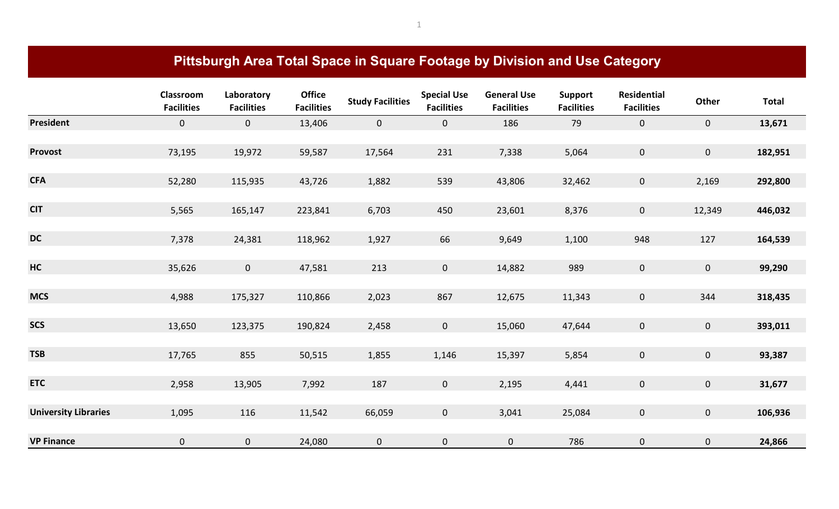|                             | Pittsburgh Area Total Space in Square Footage by Division and Use Category |                                 |                                    |                         |                                         |                                         |                                     |                                         |                |              |  |  |
|-----------------------------|----------------------------------------------------------------------------|---------------------------------|------------------------------------|-------------------------|-----------------------------------------|-----------------------------------------|-------------------------------------|-----------------------------------------|----------------|--------------|--|--|
|                             | Classroom<br><b>Facilities</b>                                             | Laboratory<br><b>Facilities</b> | <b>Office</b><br><b>Facilities</b> | <b>Study Facilities</b> | <b>Special Use</b><br><b>Facilities</b> | <b>General Use</b><br><b>Facilities</b> | <b>Support</b><br><b>Facilities</b> | <b>Residential</b><br><b>Facilities</b> | Other          | <b>Total</b> |  |  |
| <b>President</b>            | $\overline{0}$                                                             | $\overline{0}$                  | 13,406                             | $\overline{0}$          | $\mathbf 0$                             | 186                                     | 79                                  | $\overline{0}$                          | $\mathbf{0}$   | 13,671       |  |  |
| <b>Provost</b>              | 73,195                                                                     | 19,972                          | 59,587                             | 17,564                  | 231                                     | 7,338                                   | 5,064                               | $\mathbf{0}$                            | $\mathbf{0}$   | 182,951      |  |  |
| <b>CFA</b>                  | 52,280                                                                     | 115,935                         | 43,726                             | 1,882                   | 539                                     | 43,806                                  | 32,462                              | $\mathbf{0}$                            | 2,169          | 292,800      |  |  |
| <b>CIT</b>                  | 5,565                                                                      | 165,147                         | 223,841                            | 6,703                   | 450                                     | 23,601                                  | 8,376                               | $\mathbf{0}$                            | 12,349         | 446,032      |  |  |
| <b>DC</b>                   | 7,378                                                                      | 24,381                          | 118,962                            | 1,927                   | 66                                      | 9,649                                   | 1,100                               | 948                                     | 127            | 164,539      |  |  |
| HC                          | 35,626                                                                     | $\mathsf{O}\xspace$             | 47,581                             | 213                     | $\mathbf 0$                             | 14,882                                  | 989                                 | $\overline{0}$                          | $\mathbf 0$    | 99,290       |  |  |
| <b>MCS</b>                  | 4,988                                                                      | 175,327                         | 110,866                            | 2,023                   | 867                                     | 12,675                                  | 11,343                              | $\mathbf{0}$                            | 344            | 318,435      |  |  |
| <b>SCS</b>                  | 13,650                                                                     | 123,375                         | 190,824                            | 2,458                   | $\mathsf{O}\xspace$                     | 15,060                                  | 47,644                              | $\mathbf 0$                             | $\mathbf 0$    | 393,011      |  |  |
| <b>TSB</b>                  | 17,765                                                                     | 855                             | 50,515                             | 1,855                   | 1,146                                   | 15,397                                  | 5,854                               | $\overline{0}$                          | $\mathbf{0}$   | 93,387       |  |  |
| <b>ETC</b>                  | 2,958                                                                      | 13,905                          | 7,992                              | 187                     | $\overline{0}$                          | 2,195                                   | 4,441                               | $\overline{0}$                          | $\overline{0}$ | 31,677       |  |  |
| <b>University Libraries</b> | 1,095                                                                      | 116                             | 11,542                             | 66,059                  | $\mathbf 0$                             | 3,041                                   | 25,084                              | $\mathbf{0}$                            | $\mathbf{0}$   | 106,936      |  |  |
| <b>VP Finance</b>           | 0                                                                          | $\pmb{0}$                       | 24,080                             | $\mathbf 0$             | $\pmb{0}$                               | $\pmb{0}$                               | 786                                 | $\mathbf 0$                             | $\pmb{0}$      | 24,866       |  |  |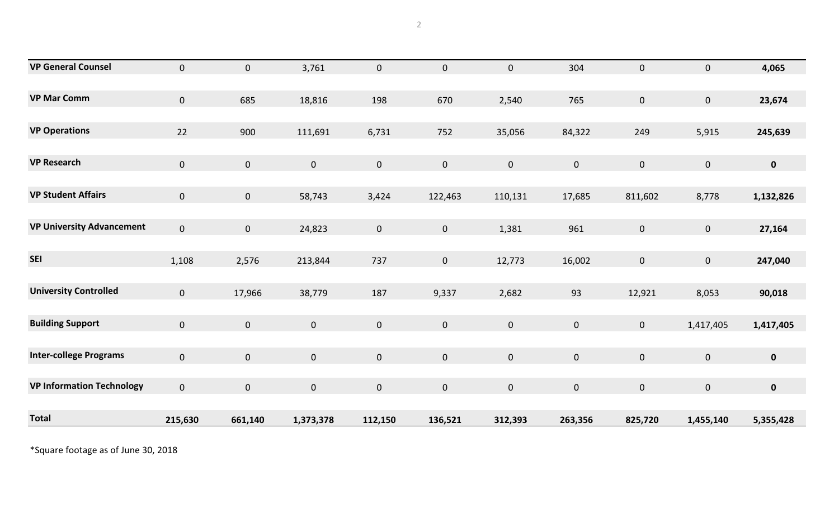| <b>VP General Counsel</b>        | $\mathbf{0}$   | $\mathbf{0}$        | 3,761     | $\mathbf{0}$ | $\pmb{0}$   | $\pmb{0}$   | 304            | $\overline{0}$ | $\mathbf 0$  | 4,065       |
|----------------------------------|----------------|---------------------|-----------|--------------|-------------|-------------|----------------|----------------|--------------|-------------|
|                                  |                |                     |           |              |             |             |                |                |              |             |
| <b>VP Mar Comm</b>               | $\overline{0}$ | 685                 | 18,816    | 198          | 670         | 2,540       | 765            | $\overline{0}$ | $\mathbf 0$  | 23,674      |
|                                  |                |                     |           |              |             |             |                |                |              |             |
| <b>VP Operations</b>             | 22             | 900                 | 111,691   | 6,731        | 752         | 35,056      | 84,322         | 249            | 5,915        | 245,639     |
|                                  |                |                     |           |              |             |             |                |                |              |             |
| <b>VP Research</b>               | $\mathbf{0}$   | $\mathbf 0$         | $\pmb{0}$ | $\mathbf{0}$ | $\mathbf 0$ | $\mathbf 0$ | $\overline{0}$ | $\mathbf{0}$   | $\mathbf{0}$ | $\mathbf 0$ |
|                                  |                |                     |           |              |             |             |                |                |              |             |
| <b>VP Student Affairs</b>        | $\mathbf{0}$   | $\mathbf 0$         | 58,743    | 3,424        | 122,463     | 110,131     | 17,685         | 811,602        | 8,778        | 1,132,826   |
|                                  |                |                     |           |              |             |             |                |                |              |             |
| <b>VP University Advancement</b> | $\overline{0}$ | $\mathbf{0}$        | 24,823    | $\mathbf{0}$ | $\mathbf 0$ | 1,381       | 961            | $\overline{0}$ | $\mathbf 0$  | 27,164      |
|                                  |                |                     |           |              |             |             |                |                |              |             |
| <b>SEI</b>                       | 1,108          | 2,576               | 213,844   | 737          | $\mathbf 0$ | 12,773      | 16,002         | $\mathbf{0}$   | $\mathbf 0$  | 247,040     |
|                                  |                |                     |           |              |             |             |                |                |              |             |
| <b>University Controlled</b>     | $\overline{0}$ | 17,966              | 38,779    | 187          | 9,337       | 2,682       | 93             | 12,921         | 8,053        | 90,018      |
|                                  |                |                     |           |              |             |             |                |                |              |             |
| <b>Building Support</b>          | $\mathbf{0}$   | $\mathsf{O}\xspace$ | $\pmb{0}$ | $\mathbf{0}$ | $\mathbf 0$ | $\pmb{0}$   | $\mathbf 0$    | $\overline{0}$ | 1,417,405    | 1,417,405   |
|                                  |                |                     |           |              |             |             |                |                |              |             |
| <b>Inter-college Programs</b>    | $\overline{0}$ | $\mathbf{0}$        | $\pmb{0}$ | $\mathbf{0}$ | $\mathbf 0$ | $\mathbf 0$ | $\mathbf 0$    | $\overline{0}$ | $\mathbf 0$  | $\mathbf 0$ |
|                                  |                |                     |           |              |             |             |                |                |              |             |
| <b>VP Information Technology</b> | $\overline{0}$ | $\mathbf{0}$        | $\pmb{0}$ | $\mathbf{0}$ | $\mathbf 0$ | $\pmb{0}$   | $\mathbf 0$    | $\overline{0}$ | $\pmb{0}$    | $\pmb{0}$   |
|                                  |                |                     |           |              |             |             |                |                |              |             |
| <b>Total</b>                     | 215,630        | 661,140             | 1,373,378 | 112,150      | 136,521     | 312,393     | 263,356        | 825,720        | 1,455,140    | 5,355,428   |

\*Square footage as of June 30, 2018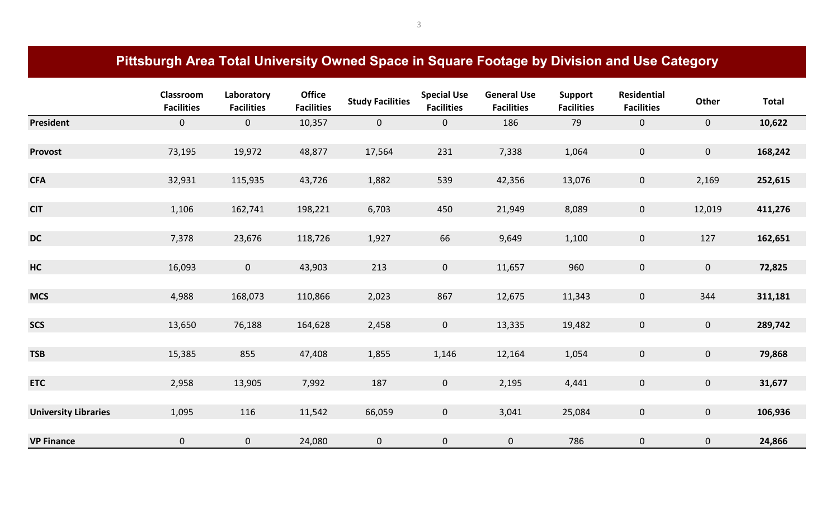# **Pittsburgh Area Total University Owned Space in Square Footage by Division and Use Category**

|                             | Classroom<br><b>Facilities</b> | Laboratory<br><b>Facilities</b> | <b>Office</b><br><b>Facilities</b> | <b>Study Facilities</b> | <b>Special Use</b><br><b>Facilities</b> | <b>General Use</b><br><b>Facilities</b> | Support<br><b>Facilities</b> | <b>Residential</b><br><b>Facilities</b> | Other          | <b>Total</b> |
|-----------------------------|--------------------------------|---------------------------------|------------------------------------|-------------------------|-----------------------------------------|-----------------------------------------|------------------------------|-----------------------------------------|----------------|--------------|
| <b>President</b>            | $\overline{0}$                 | $\mathbf{0}$                    | 10,357                             | $\overline{0}$          | $\overline{0}$                          | 186                                     | 79                           | $\mathbf{0}$                            | $\overline{0}$ | 10,622       |
|                             |                                |                                 |                                    |                         |                                         |                                         |                              |                                         |                |              |
| Provost                     | 73,195                         | 19,972                          | 48,877                             | 17,564                  | 231                                     | 7,338                                   | 1,064                        | $\mathbf{0}$                            | $\mathbf{0}$   | 168,242      |
|                             |                                |                                 |                                    |                         |                                         |                                         |                              |                                         |                |              |
| <b>CFA</b>                  | 32,931                         | 115,935                         | 43,726                             | 1,882                   | 539                                     | 42,356                                  | 13,076                       | $\mathbf{0}$                            | 2,169          | 252,615      |
|                             |                                |                                 |                                    |                         |                                         |                                         |                              |                                         |                |              |
| <b>CIT</b>                  | 1,106                          | 162,741                         | 198,221                            | 6,703                   | 450                                     | 21,949                                  | 8,089                        | $\mathbf{0}$                            | 12,019         | 411,276      |
|                             |                                |                                 |                                    |                         |                                         |                                         |                              |                                         |                |              |
| <b>DC</b>                   | 7,378                          | 23,676                          | 118,726                            | 1,927                   | 66                                      | 9,649                                   | 1,100                        | $\mathbf{0}$                            | 127            | 162,651      |
|                             |                                |                                 |                                    |                         |                                         |                                         |                              |                                         |                |              |
| <b>HC</b>                   | 16,093                         | $\mathbf{0}$                    | 43,903                             | 213                     | $\overline{0}$                          | 11,657                                  | 960                          | $\overline{0}$                          | $\overline{0}$ | 72,825       |
|                             |                                |                                 |                                    |                         |                                         |                                         |                              |                                         |                |              |
| <b>MCS</b>                  | 4,988                          | 168,073                         | 110,866                            | 2,023                   | 867                                     | 12,675                                  | 11,343                       | $\overline{0}$                          | 344            | 311,181      |
|                             |                                |                                 |                                    |                         |                                         |                                         |                              |                                         |                |              |
| <b>SCS</b>                  | 13,650                         | 76,188                          | 164,628                            | 2,458                   | $\overline{0}$                          | 13,335                                  | 19,482                       | $\overline{0}$                          | $\overline{0}$ | 289,742      |
|                             |                                |                                 |                                    |                         |                                         |                                         |                              |                                         |                |              |
| <b>TSB</b>                  | 15,385                         | 855                             | 47,408                             | 1,855                   | 1,146                                   | 12,164                                  | 1,054                        | $\overline{0}$                          | $\overline{0}$ | 79,868       |
|                             |                                |                                 |                                    |                         |                                         |                                         |                              |                                         |                |              |
| <b>ETC</b>                  | 2,958                          | 13,905                          | 7,992                              | 187                     | $\overline{0}$                          | 2,195                                   | 4,441                        | $\overline{0}$                          | $\overline{0}$ | 31,677       |
|                             |                                |                                 |                                    |                         |                                         |                                         |                              |                                         |                |              |
| <b>University Libraries</b> | 1,095                          | 116                             | 11,542                             | 66,059                  | $\overline{0}$                          | 3,041                                   | 25,084                       | $\overline{0}$                          | $\mathbf{0}$   | 106,936      |
| <b>VP Finance</b>           | $\mathbf 0$                    |                                 |                                    |                         |                                         |                                         |                              |                                         |                |              |
|                             |                                | $\mathbf{0}$                    | 24,080                             | $\mathbf 0$             | $\mathbf 0$                             | $\mathbf{0}$                            | 786                          | $\mathbf 0$                             | $\mathbf{0}$   | 24,866       |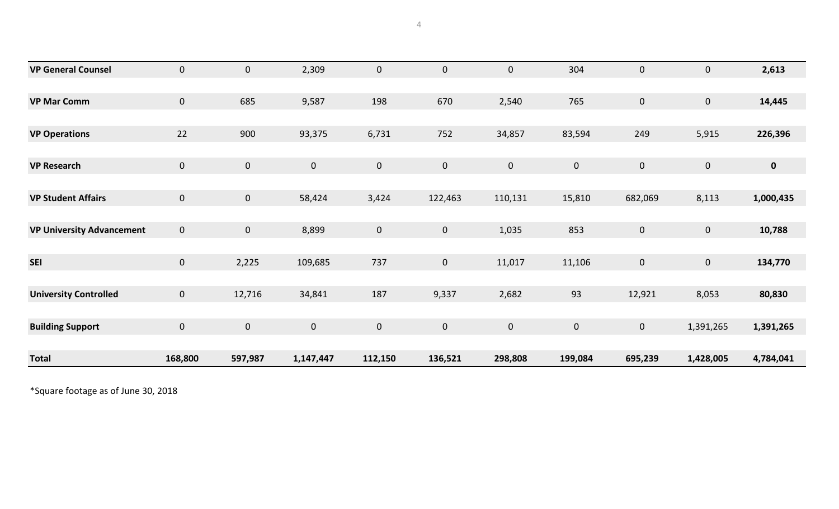| <b>VP General Counsel</b>        | $\mathbf{0}$   | $\mathbf{0}$ | 2,309       | $\mathbf 0$ | $\mathbf 0$  | $\mathbf 0$ | 304         | $\mathbf 0$    | $\overline{0}$ | 2,613       |
|----------------------------------|----------------|--------------|-------------|-------------|--------------|-------------|-------------|----------------|----------------|-------------|
|                                  |                |              |             |             |              |             |             |                |                |             |
| <b>VP Mar Comm</b>               | $\mathbf{0}$   | 685          | 9,587       | 198         | 670          | 2,540       | 765         | $\overline{0}$ | $\mathbf{0}$   | 14,445      |
|                                  |                |              |             |             |              |             |             |                |                |             |
| <b>VP Operations</b>             | 22             | 900          | 93,375      | 6,731       | 752          | 34,857      | 83,594      | 249            | 5,915          | 226,396     |
|                                  |                |              |             |             |              |             |             |                |                |             |
| <b>VP Research</b>               | $\overline{0}$ | $\mathbf 0$  | $\mathbf 0$ | $\mathbf 0$ | $\mathbf 0$  | $\mathbf 0$ | $\mathbf 0$ | $\overline{0}$ | $\mathbf{0}$   | $\mathbf 0$ |
|                                  |                |              |             |             |              |             |             |                |                |             |
| <b>VP Student Affairs</b>        | $\overline{0}$ | $\mathbf 0$  | 58,424      | 3,424       | 122,463      | 110,131     | 15,810      | 682,069        | 8,113          | 1,000,435   |
|                                  |                |              |             |             |              |             |             |                |                |             |
| <b>VP University Advancement</b> | $\overline{0}$ | $\mathbf{0}$ | 8,899       | $\pmb{0}$   | $\mathbf 0$  | 1,035       | 853         | $\mathbf 0$    | $\mathbf{0}$   | 10,788      |
|                                  |                |              |             |             |              |             |             |                |                |             |
| <b>SEI</b>                       | $\mathbf{0}$   | 2,225        | 109,685     | 737         | $\mathbf{0}$ | 11,017      | 11,106      | $\mathbf 0$    | $\overline{0}$ | 134,770     |
|                                  |                |              |             |             |              |             |             |                |                |             |
| <b>University Controlled</b>     | $\mathbf{0}$   | 12,716       | 34,841      | 187         | 9,337        | 2,682       | 93          | 12,921         | 8,053          | 80,830      |
|                                  |                |              |             |             |              |             |             |                |                |             |
| <b>Building Support</b>          | $\overline{0}$ | $\mathbf 0$  | $\mathbf 0$ | $\pmb{0}$   | $\mathbf 0$  | $\mathbf 0$ | $\mathbf 0$ | $\overline{0}$ | 1,391,265      | 1,391,265   |
|                                  |                |              |             |             |              |             |             |                |                |             |
| <b>Total</b>                     | 168,800        | 597,987      | 1,147,447   | 112,150     | 136,521      | 298,808     | 199,084     | 695,239        | 1,428,005      | 4,784,041   |

\*Square footage as of June 30, 2018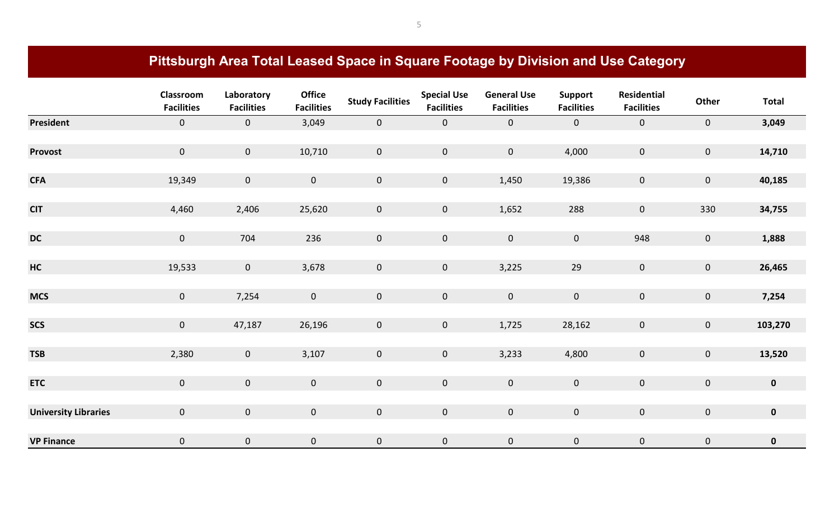## **Pittsburgh Area Total Leased Space in Square Footage by Division and Use Category**

|                             | Classroom<br><b>Facilities</b> | Laboratory<br><b>Facilities</b> | <b>Office</b><br><b>Facilities</b> | <b>Study Facilities</b> | <b>Special Use</b><br><b>Facilities</b> | <b>General Use</b><br><b>Facilities</b> | <b>Support</b><br><b>Facilities</b> | Residential<br><b>Facilities</b> | Other          | <b>Total</b> |
|-----------------------------|--------------------------------|---------------------------------|------------------------------------|-------------------------|-----------------------------------------|-----------------------------------------|-------------------------------------|----------------------------------|----------------|--------------|
| President                   | $\mathbf 0$                    | $\mathbf{0}$                    | 3,049                              | $\overline{0}$          | $\mathbf{0}$                            | $\overline{0}$                          | $\mathbf{0}$                        | $\overline{0}$                   | $\mathbf{0}$   | 3,049        |
|                             |                                |                                 |                                    |                         |                                         |                                         |                                     |                                  |                |              |
| Provost                     | $\mathbf{0}$                   | $\mathbf{0}$                    | 10,710                             | $\overline{0}$          | $\overline{0}$                          | $\mathbf{0}$                            | 4,000                               | $\mathbf{0}$                     | $\overline{0}$ | 14,710       |
|                             |                                |                                 |                                    |                         |                                         |                                         |                                     |                                  |                |              |
| <b>CFA</b>                  | 19,349                         | $\mathbf 0$                     | $\mathsf{O}\xspace$                | $\overline{0}$          | $\overline{0}$                          | 1,450                                   | 19,386                              | $\mathbf{0}$                     | $\overline{0}$ | 40,185       |
|                             |                                |                                 |                                    |                         |                                         |                                         |                                     |                                  |                |              |
| <b>CIT</b>                  | 4,460                          | 2,406                           | 25,620                             | $\overline{0}$          | $\mathbf{0}$                            | 1,652                                   | 288                                 | $\mathbf{0}$                     | 330            | 34,755       |
|                             |                                |                                 |                                    |                         |                                         |                                         |                                     |                                  |                |              |
| <b>DC</b>                   | $\mathbf{0}$                   | 704                             | 236                                | $\overline{0}$          | $\mathbf{0}$                            | $\mathbf{0}$                            | $\mathbf 0$                         | 948                              | $\overline{0}$ | 1,888        |
|                             |                                |                                 |                                    |                         |                                         |                                         |                                     |                                  |                |              |
| <b>HC</b>                   | 19,533                         | $\mathbf{0}$                    | 3,678                              | $\overline{0}$          | $\overline{0}$                          | 3,225                                   | 29                                  | $\mathbf{0}$                     | $\overline{0}$ | 26,465       |
| <b>MCS</b>                  | $\overline{0}$                 | 7,254                           | $\mathbf 0$                        | $\overline{0}$          | $\mathbf{0}$                            | $\mathbf 0$                             | $\mathsf{O}\xspace$                 | $\mathbf{0}$                     | $\overline{0}$ | 7,254        |
|                             |                                |                                 |                                    |                         |                                         |                                         |                                     |                                  |                |              |
| <b>SCS</b>                  | $\mathbf{0}$                   | 47,187                          | 26,196                             | $\overline{0}$          | $\overline{0}$                          | 1,725                                   | 28,162                              | $\overline{0}$                   | $\mathbf{0}$   | 103,270      |
|                             |                                |                                 |                                    |                         |                                         |                                         |                                     |                                  |                |              |
| <b>TSB</b>                  | 2,380                          | $\mathbf{0}$                    | 3,107                              | $\overline{0}$          | $\overline{0}$                          | 3,233                                   | 4,800                               | $\overline{0}$                   | $\mathbf{0}$   | 13,520       |
|                             |                                |                                 |                                    |                         |                                         |                                         |                                     |                                  |                |              |
| <b>ETC</b>                  | $\overline{0}$                 | $\mathbf{0}$                    | $\mathbf 0$                        | $\overline{0}$          | $\mathbf{0}$                            | $\mathbf 0$                             | $\mathbf 0$                         | $\mathbf{0}$                     | $\overline{0}$ | $\mathbf 0$  |
|                             |                                |                                 |                                    |                         |                                         |                                         |                                     |                                  |                |              |
| <b>University Libraries</b> | $\mathbf{0}$                   | $\mathbf{0}$                    | $\mathbf 0$                        | $\overline{0}$          | $\overline{0}$                          | $\mathbf 0$                             | $\mathbf 0$                         | $\mathbf{0}$                     | $\overline{0}$ | $\mathbf 0$  |
|                             |                                |                                 |                                    |                         |                                         |                                         |                                     |                                  |                |              |
| <b>VP Finance</b>           | $\mathbf 0$                    | $\mathbf 0$                     | $\pmb{0}$                          | $\mathbf 0$             | 0                                       | $\pmb{0}$                               | $\mathbf 0$                         | $\pmb{0}$                        | $\mathbf 0$    | $\pmb{0}$    |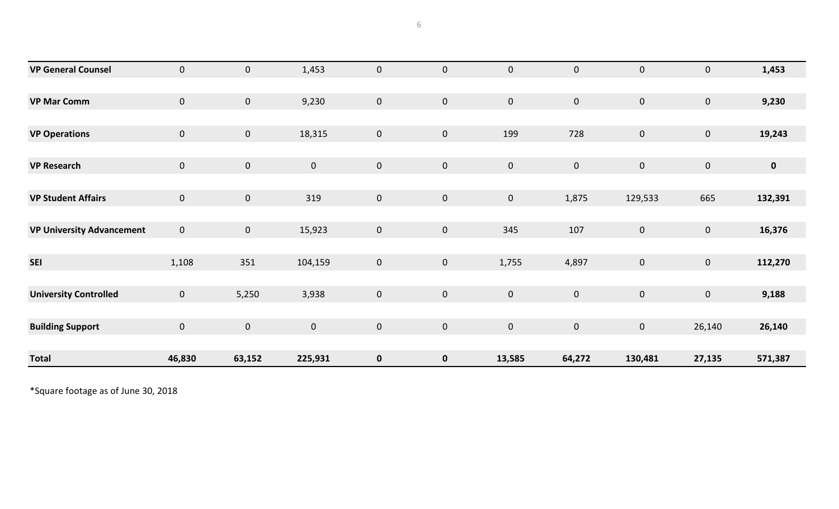| <b>VP General Counsel</b>        | $\overline{0}$ | $\mathbf 0$    | 1,453       | $\pmb{0}$   | $\mathbf 0$    | $\mathbf 0$    | $\pmb{0}$   | $\pmb{0}$        | $\mathbf 0$    | 1,453       |
|----------------------------------|----------------|----------------|-------------|-------------|----------------|----------------|-------------|------------------|----------------|-------------|
|                                  |                |                |             |             |                |                |             |                  |                |             |
| <b>VP Mar Comm</b>               | $\overline{0}$ | $\overline{0}$ | 9,230       | $\mathbf 0$ | $\overline{0}$ | $\overline{0}$ | $\mathbf 0$ | $\mathbf 0$      | $\mathbf{0}$   | 9,230       |
|                                  |                |                |             |             |                |                |             |                  |                |             |
| <b>VP Operations</b>             | $\overline{0}$ | $\mathbf{0}$   | 18,315      | $\mathbf 0$ | $\mathbf{0}$   | 199            | 728         | $\mathbf 0$      | $\mathbf{0}$   | 19,243      |
|                                  |                |                |             |             |                |                |             |                  |                |             |
| <b>VP Research</b>               | $\overline{0}$ | $\overline{0}$ | $\mathbf 0$ | $\pmb{0}$   | $\mathbf 0$    | $\mathbf 0$    | $\mathbf 0$ | $\mathbf 0$      | $\overline{0}$ | $\mathbf 0$ |
|                                  |                |                |             |             |                |                |             |                  |                |             |
| <b>VP Student Affairs</b>        | $\mathbf{0}$   | $\mathbf{0}$   | 319         | $\pmb{0}$   | $\mathbf{0}$   | $\overline{0}$ | 1,875       | 129,533          | 665            | 132,391     |
|                                  |                |                |             |             |                |                |             |                  |                |             |
| <b>VP University Advancement</b> | $\overline{0}$ | $\mathbf{0}$   | 15,923      | $\pmb{0}$   | $\mathbf 0$    | 345            | 107         | $\mathbf 0$      | $\overline{0}$ | 16,376      |
|                                  |                |                |             |             |                |                |             |                  |                |             |
| <b>SEI</b>                       | 1,108          | 351            | 104,159     | $\pmb{0}$   | $\overline{0}$ | 1,755          | 4,897       | $\pmb{0}$        | $\mathbf 0$    | 112,270     |
|                                  |                |                |             |             |                |                |             |                  |                |             |
| <b>University Controlled</b>     | $\mathbf{0}$   | 5,250          | 3,938       | $\pmb{0}$   | $\mathbf 0$    | $\mathbf 0$    | $\pmb{0}$   | $\boldsymbol{0}$ | $\overline{0}$ | 9,188       |
|                                  |                |                |             |             |                |                |             |                  |                |             |
| <b>Building Support</b>          | $\overline{0}$ | $\overline{0}$ | $\mathbf 0$ | $\pmb{0}$   | $\overline{0}$ | $\overline{0}$ | $\mathbf 0$ | $\mathbf 0$      | 26,140         | 26,140      |
|                                  |                |                |             |             |                |                |             |                  |                |             |
| <b>Total</b>                     | 46,830         | 63,152         | 225,931     | $\mathbf 0$ | $\mathbf 0$    | 13,585         | 64,272      | 130,481          | 27,135         | 571,387     |

\*Square footage as of June 30, 2018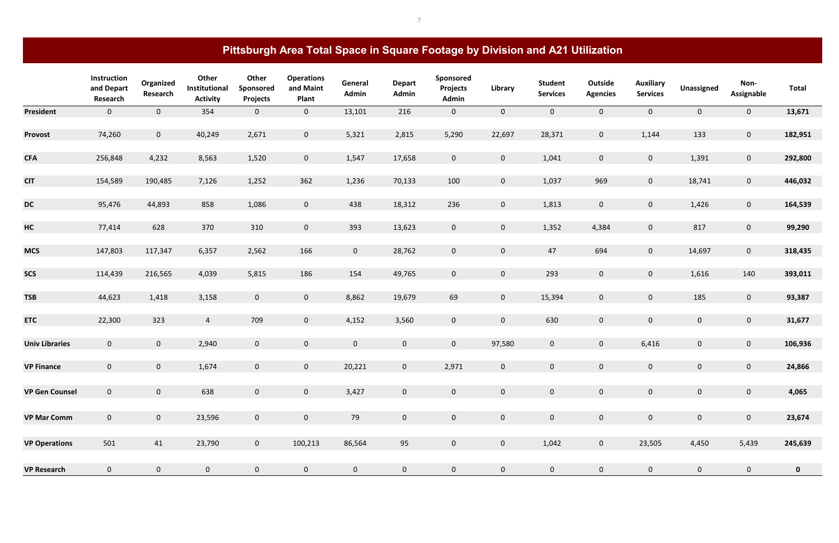|                       | Instruction<br>and Depart<br>Research | Organized<br>Research | Other<br>Institutional<br><b>Activity</b> | Other<br>Sponsored<br><b>Projects</b> | <b>Operations</b><br>and Maint<br>Plant | General<br>Admin | <b>Depart</b><br>Admin | Sponsored<br>Projects<br>Admin | Library        | <b>Student</b><br><b>Services</b> | Outside<br><b>Agencies</b> | <b>Auxiliary</b><br><b>Services</b> | <b>Unassigned</b> | Non-<br><b>Assignable</b> | <b>Total</b> |
|-----------------------|---------------------------------------|-----------------------|-------------------------------------------|---------------------------------------|-----------------------------------------|------------------|------------------------|--------------------------------|----------------|-----------------------------------|----------------------------|-------------------------------------|-------------------|---------------------------|--------------|
| <b>President</b>      | $\mathbf{0}$                          | $\mathbf{0}$          | 354                                       | $\mathbf{0}$                          | $\mathbf 0$                             | 13,101           | 216                    | $\mathbf 0$                    | $\mathbf{0}$   | $\mathbf{0}$                      | $\mathbf 0$                | $\mathbf 0$                         | $\mathbf{0}$      | $\overline{0}$            | 13,671       |
| <b>Provost</b>        | 74,260                                | $\overline{0}$        | 40,249                                    | 2,671                                 | $\mathbf 0$                             | 5,321            | 2,815                  | 5,290                          | 22,697         | 28,371                            | $\overline{0}$             | 1,144                               | 133               | $\overline{0}$            | 182,951      |
| <b>CFA</b>            | 256,848                               | 4,232                 | 8,563                                     | 1,520                                 | $\mathbf 0$                             | 1,547            | 17,658                 | $\overline{0}$                 | $\overline{0}$ | 1,041                             | $\mathbf 0$                | $\mathbf 0$                         | 1,391             | $\overline{0}$            | 292,800      |
| <b>CIT</b>            | 154,589                               | 190,485               | 7,126                                     | 1,252                                 | 362                                     | 1,236            | 70,133                 | 100                            | $\overline{0}$ | 1,037                             | 969                        | $\mathbf 0$                         | 18,741            | $\overline{0}$            | 446,032      |
| <b>DC</b>             | 95,476                                | 44,893                | 858                                       | 1,086                                 | $\mathbf 0$                             | 438              | 18,312                 | 236                            | $\mathbf 0$    | 1,813                             | $\mathbf 0$                | $\mathbf 0$                         | 1,426             | $\overline{0}$            | 164,539      |
| HC                    | 77,414                                | 628                   | 370                                       | 310                                   | $\mathbf 0$                             | 393              | 13,623                 | $\mathbf 0$                    | $\overline{0}$ | 1,352                             | 4,384                      | $\mathbf 0$                         | 817               | $\overline{0}$            | 99,290       |
| <b>MCS</b>            | 147,803                               | 117,347               | 6,357                                     | 2,562                                 | 166                                     | $\overline{0}$   | 28,762                 | $\mathbf{0}$                   | $\overline{0}$ | 47                                | 694                        | $\mathbf 0$                         | 14,697            | $\overline{0}$            | 318,435      |
| <b>SCS</b>            | 114,439                               | 216,565               | 4,039                                     | 5,815                                 | 186                                     | 154              | 49,765                 | $\mathbf 0$                    | $\overline{0}$ | 293                               | $\mathbf 0$                | $\mathbf 0$                         | 1,616             | 140                       | 393,011      |
| <b>TSB</b>            | 44,623                                | 1,418                 | 3,158                                     | $\mathbf{0}$                          | $\mathbf 0$                             | 8,862            | 19,679                 | 69                             | $\overline{0}$ | 15,394                            | $\mathbf 0$                | $\mathbf 0$                         | 185               | $\overline{0}$            | 93,387       |
| <b>ETC</b>            | 22,300                                | 323                   | $\overline{4}$                            | 709                                   | $\mathbf 0$                             | 4,152            | 3,560                  | $\mathbf 0$                    | $\overline{0}$ | 630                               | $\mathbf 0$                | $\mathbf 0$                         | $\mathbf{0}$      | $\overline{0}$            | 31,677       |
| <b>Univ Libraries</b> | $\overline{0}$                        | $\overline{0}$        | 2,940                                     | $\mathbf{0}$                          | $\mathbf 0$                             | $\overline{0}$   | $\overline{0}$         | $\overline{0}$                 | 97,580         | $\mathbf 0$                       | $\overline{0}$             | 6,416                               | $\mathbf{0}$      | $\overline{0}$            | 106,936      |
| <b>VP Finance</b>     | $\mathbf{0}$                          | $\overline{0}$        | 1,674                                     | $\mathbf{0}$                          | $\mathbf 0$                             | 20,221           | $\mathbf 0$            | 2,971                          | $\overline{0}$ | $\mathbf 0$                       | $\pmb{0}$                  | $\mathbf 0$                         | $\mathbf 0$       | $\pmb{0}$                 | 24,866       |
| <b>VP Gen Counsel</b> | $\overline{0}$                        | $\overline{0}$        | 638                                       | $\mathbf{0}$                          | $\overline{0}$                          | 3,427            | $\overline{0}$         | $\mathbf{0}$                   | $\overline{0}$ | $\overline{0}$                    | $\mathbf{0}$               | $\overline{0}$                      | $\overline{0}$    | $\overline{0}$            | 4,065        |
| <b>VP Mar Comm</b>    | $\overline{0}$                        | $\overline{0}$        | 23,596                                    | $\mathbf{0}$                          | $\pmb{0}$                               | 79               | $\overline{0}$         | $\overline{0}$                 | $\overline{0}$ | $\mathbf{0}$                      | $\overline{0}$             | $\pmb{0}$                           | $\mathbf{0}$      | $\overline{0}$            | 23,674       |
| <b>VP Operations</b>  | 501                                   | 41                    | 23,790                                    | $\mathbf{0}$                          | 100,213                                 | 86,564           | 95                     | $\overline{0}$                 | $\mathbf{0}$   | 1,042                             | $\mathbf{0}$               | 23,505                              | 4,450             | 5,439                     | 245,639      |
| <b>VP Research</b>    | $\overline{0}$                        | $\mathbf{0}$          | $\mathbf{0}$                              | $\mathbf{0}$                          | $\mathbf 0$                             | $\overline{0}$   | $\overline{0}$         | $\mathbf{0}$                   | $\overline{0}$ | $\overline{0}$                    | $\mathbf{0}$               | $\mathbf{0}$                        | $\mathbf{0}$      | $\overline{0}$            | $\mathbf 0$  |

# **Pittsburgh Area Total Space in Square Footage by Division and A21 Utilization**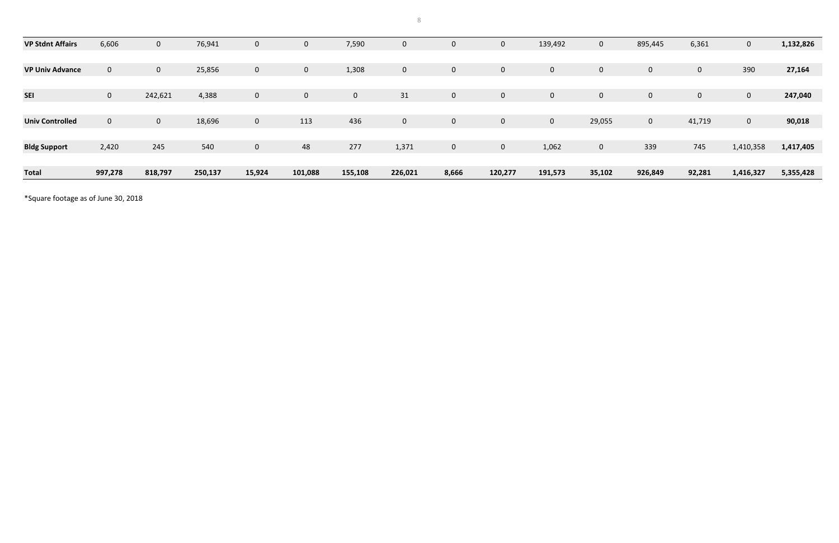| <b>VP Stdnt Affairs</b> | 6,606          | U              | 76,941  | $\mathbf 0$    | $\mathbf 0$  | 7,590       | $\overline{0}$ | $\mathbf{0}$   |             | 139,492     | 0            | 895,445     | 6,361          | $\mathbf{0}$ | 1,132,826 |
|-------------------------|----------------|----------------|---------|----------------|--------------|-------------|----------------|----------------|-------------|-------------|--------------|-------------|----------------|--------------|-----------|
|                         |                |                |         |                |              |             |                |                |             |             |              |             |                |              |           |
| <b>VP Univ Advance</b>  | $\mathbf 0$    | $\overline{0}$ | 25,856  | 0              | $\mathbf{0}$ | 1,308       | $\overline{0}$ | $\overline{0}$ | $\mathbf 0$ | $\mathbf 0$ | $\mathbf{0}$ | $\mathbf 0$ | $\overline{0}$ | 390          | 27,164    |
|                         |                |                |         |                |              |             |                |                |             |             |              |             |                |              |           |
| <b>SEI</b>              | $\overline{0}$ | 242,621        | 4,388   | $\mathbf 0$    | $\mathbf{0}$ | $\mathbf 0$ | 31             | $\mathbf{0}$   | $\mathbf 0$ | $\mathbf 0$ | 0            | $\mathbf 0$ | $\overline{0}$ | $\mathbf{0}$ | 247,040   |
|                         |                |                |         |                |              |             |                |                |             |             |              |             |                |              |           |
| <b>Univ Controlled</b>  | $\mathbf{0}$   | $\overline{0}$ | 18,696  | $\overline{0}$ | 113          | 436         | $\overline{0}$ | $\mathbf{0}$   | $\mathbf 0$ | $\mathbf 0$ | 29,055       | $\mathbf 0$ | 41,719         | $\mathbf{0}$ | 90,018    |
|                         |                |                |         |                |              |             |                |                |             |             |              |             |                |              |           |
| <b>Bldg Support</b>     | 2,420          | 245            | 540     | $\pmb{0}$      | 48           | 277         | 1,371          | $\mathbf{0}$   | $\mathbf 0$ | 1,062       | $\mathbf{0}$ | 339         | 745            | 1,410,358    | 1,417,405 |
|                         |                |                |         |                |              |             |                |                |             |             |              |             |                |              |           |
| <b>Total</b>            | 997,278        | 818,797        | 250,137 | 15,924         | 101,088      | 155,108     | 226,021        | 8,666          | 120,277     | 191,573     | 35,102       | 926,849     | 92,281         | 1,416,327    | 5,355,428 |

\*Square footage as of June 30, 2018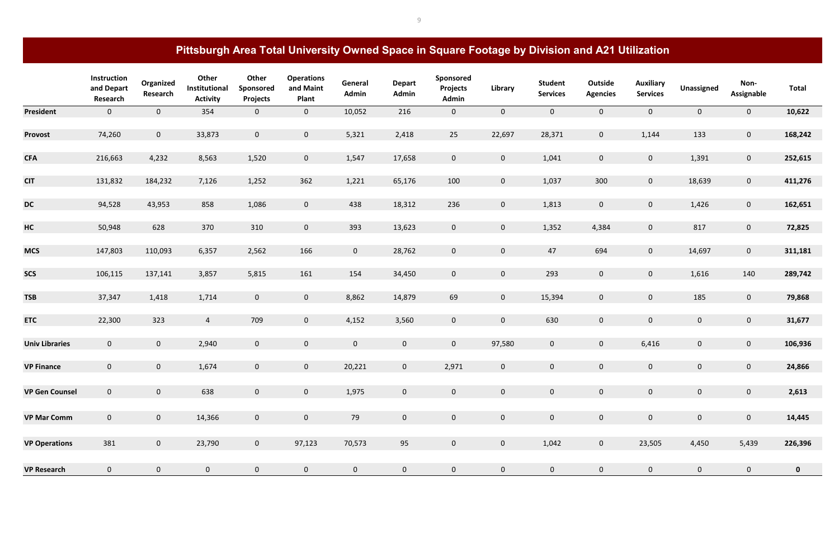|                       | Instruction<br>and Depart<br>Research | Organized<br>Research | Other<br>Institutional<br><b>Activity</b> | Other<br>Sponsored<br><b>Projects</b> | <b>Operations</b><br>and Maint<br>Plant | General<br>Admin | <b>Depart</b><br>Admin | Sponsored<br><b>Projects</b><br>Admin | Library        | <b>Student</b><br><b>Services</b> | <b>Outside</b><br><b>Agencies</b> | <b>Auxiliary</b><br><b>Services</b> | Unassigned     | Non-<br><b>Assignable</b> | <b>Total</b> |
|-----------------------|---------------------------------------|-----------------------|-------------------------------------------|---------------------------------------|-----------------------------------------|------------------|------------------------|---------------------------------------|----------------|-----------------------------------|-----------------------------------|-------------------------------------|----------------|---------------------------|--------------|
| <b>President</b>      | $\mathbf{0}$                          | $\overline{0}$        | 354                                       | $\mathbf{0}$                          | $\mathbf 0$                             | 10,052           | 216                    | $\overline{0}$                        | $\mathbf{0}$   | $\overline{0}$                    | $\mathbf{0}$                      | $\overline{0}$                      | $\mathbf{0}$   | $\mathbf{0}$              | 10,622       |
| <b>Provost</b>        | 74,260                                | $\overline{0}$        | 33,873                                    | $\mathbf{0}$                          | $\mathbf 0$                             | 5,321            | 2,418                  | 25                                    | 22,697         | 28,371                            | $\mathbf{0}$                      | 1,144                               | 133            | $\overline{0}$            | 168,242      |
| <b>CFA</b>            | 216,663                               | 4,232                 | 8,563                                     | 1,520                                 | $\mathbf 0$                             | 1,547            | 17,658                 | $\mathbf 0$                           | $\overline{0}$ | 1,041                             | $\mathbf{0}$                      | $\overline{0}$                      | 1,391          | $\overline{0}$            | 252,615      |
| <b>CIT</b>            | 131,832                               | 184,232               | 7,126                                     | 1,252                                 | 362                                     | 1,221            | 65,176                 | 100                                   | $\overline{0}$ | 1,037                             | 300                               | $\overline{0}$                      | 18,639         | $\mathbf{0}$              | 411,276      |
| <b>DC</b>             | 94,528                                | 43,953                | 858                                       | 1,086                                 | $\mathbf 0$                             | 438              | 18,312                 | 236                                   | $\mathbf{0}$   | 1,813                             | $\mathbf{0}$                      | $\mathbf 0$                         | 1,426          | $\mathbf{0}$              | 162,651      |
| HC                    | 50,948                                | 628                   | 370                                       | 310                                   | $\mathbf 0$                             | 393              | 13,623                 | $\mathbf 0$                           | $\mathbf{0}$   | 1,352                             | 4,384                             | $\mathbf 0$                         | 817            | $\overline{0}$            | 72,825       |
| <b>MCS</b>            | 147,803                               | 110,093               | 6,357                                     | 2,562                                 | 166                                     | $\overline{0}$   | 28,762                 | $\mathbf 0$                           | $\overline{0}$ | 47                                | 694                               | $\mathbf 0$                         | 14,697         | $\overline{0}$            | 311,181      |
| <b>SCS</b>            | 106,115                               | 137,141               | 3,857                                     | 5,815                                 | 161                                     | 154              | 34,450                 | $\mathbf 0$                           | $\overline{0}$ | 293                               | $\overline{0}$                    | $\overline{0}$                      | 1,616          | 140                       | 289,742      |
| <b>TSB</b>            | 37,347                                | 1,418                 | 1,714                                     | $\mathbf{0}$                          | $\mathbf 0$                             | 8,862            | 14,879                 | 69                                    | $\mathbf{0}$   | 15,394                            | $\overline{0}$                    | $\overline{0}$                      | 185            | $\overline{0}$            | 79,868       |
| <b>ETC</b>            | 22,300                                | 323                   | $\overline{4}$                            | 709                                   | $\mathbf 0$                             | 4,152            | 3,560                  | $\mathbf 0$                           | $\mathbf{0}$   | 630                               | $\pmb{0}$                         | $\mathbf 0$                         | $\mathbf{0}$   | $\overline{0}$            | 31,677       |
| <b>Univ Libraries</b> | $\overline{0}$                        | $\overline{0}$        | 2,940                                     | $\mathbf{0}$                          | $\mathbf 0$                             | $\overline{0}$   | $\overline{0}$         | $\overline{0}$                        | 97,580         | $\mathbf 0$                       | $\overline{0}$                    | 6,416                               | $\mathbf{0}$   | $\overline{0}$            | 106,936      |
| <b>VP Finance</b>     | $\mathbf 0$                           | $\mathbf{0}$          | 1,674                                     | $\mathbf 0$                           | $\mathbf 0$                             | 20,221           | $\mathbf 0$            | 2,971                                 | $\mathbf 0$    | $\mathbf 0$                       | $\mathbf 0$                       | $\mathbf 0$                         | $\mathbf 0$    | $\mathbf 0$               | 24,866       |
| <b>VP Gen Counsel</b> | $\overline{0}$                        | $\overline{0}$        | 638                                       | $\mathbf{0}$                          | $\mathbf 0$                             | 1,975            | $\overline{0}$         | $\overline{0}$                        | $\mathbf{0}$   | $\mathbf 0$                       | $\mathbf{0}$                      | $\overline{0}$                      | $\overline{0}$ | $\overline{0}$            | 2,613        |
| <b>VP Mar Comm</b>    | $\overline{0}$                        | $\overline{0}$        | 14,366                                    | $\mathbf{0}$                          | $\pmb{0}$                               | 79               | $\mathbf{0}$           | $\overline{0}$                        | $\overline{0}$ | $\mathbf{0}$                      | $\mathbf{0}$                      | $\mathbf 0$                         | $\mathbf{0}$   | $\overline{0}$            | 14,445       |
| <b>VP Operations</b>  | 381                                   | $\overline{0}$        | 23,790                                    | $\mathbf{0}$                          | 97,123                                  | 70,573           | 95                     | $\mathbf{0}$                          | $\mathbf{0}$   | 1,042                             | $\mathbf{0}$                      | 23,505                              | 4,450          | 5,439                     | 226,396      |
| <b>VP Research</b>    | $\overline{0}$                        | $\mathbf{0}$          | $\mathbf{0}$                              | $\mathbf{0}$                          | $\pmb{0}$                               | $\mathbf 0$      | $\overline{0}$         | $\mathbf 0$                           | $\mathbf{0}$   | $\mathbf 0$                       | $\mathbf{0}$                      | $\mathbf 0$                         | $\mathbf 0$    | $\overline{0}$            | $\mathbf{0}$ |

# **Pittsburgh Area Total University Owned Space in Square Footage by Division and A21 Utilization**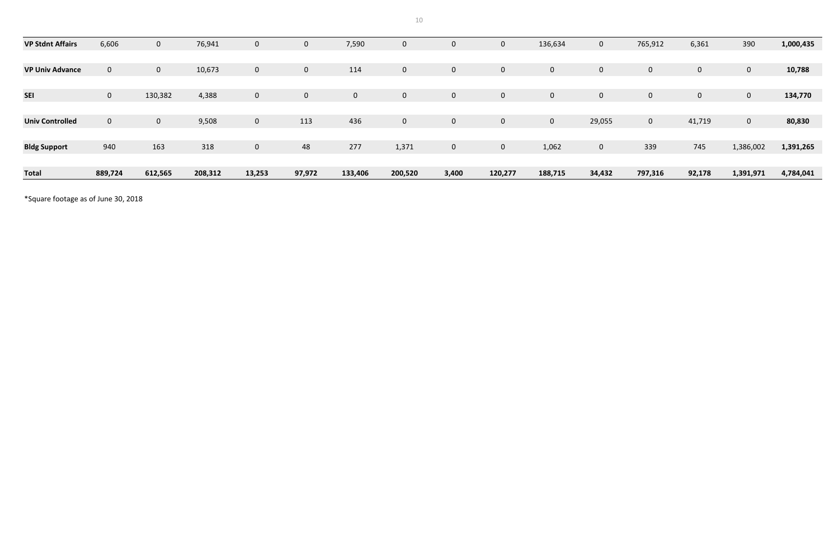10

| <b>VP Stdnt Affairs</b> | 6,606          | $\mathbf{0}$ | 76,941  | 0            | $\mathbf 0$  | 7,590       | $\overline{0}$ | $\mathbf 0$    | $\mathbf{0}$   | 136,634        | $\mathbf{0}$ | 765,912     | 6,361          | 390          | 1,000,435 |
|-------------------------|----------------|--------------|---------|--------------|--------------|-------------|----------------|----------------|----------------|----------------|--------------|-------------|----------------|--------------|-----------|
|                         |                |              |         |              |              |             |                |                |                |                |              |             |                |              |           |
| <b>VP Univ Advance</b>  | $\mathbf 0$    | $\mathbf{0}$ | 10,673  | 0            | $\mathbf{0}$ | 114         | $\overline{0}$ | $\overline{0}$ | $\overline{0}$ | 0              | $\mathbf{0}$ | $\mathbf 0$ | $\overline{0}$ | $\mathbf 0$  | 10,788    |
|                         |                |              |         |              |              |             |                |                |                |                |              |             |                |              |           |
| <b>SEI</b>              | $\overline{0}$ | 130,382      | 4,388   | $\mathbf{0}$ | $\mathbf{0}$ | $\mathbf 0$ | $\overline{0}$ | $\mathbf 0$    | $\mathbf{0}$   | $\mathbf{0}$   | $\mathbf{0}$ | $\mathbf 0$ | $\overline{0}$ | $\mathbf 0$  | 134,770   |
|                         |                |              |         |              |              |             |                |                |                |                |              |             |                |              |           |
| <b>Univ Controlled</b>  | $\mathbf 0$    | $\mathbf{0}$ | 9,508   | $\mathbf 0$  | 113          | 436         | $\overline{0}$ | $\mathbf 0$    | $\mathbf 0$    | $\overline{0}$ | 29,055       | $\mathbf 0$ | 41,719         | $\mathbf{0}$ | 80,830    |
|                         |                |              |         |              |              |             |                |                |                |                |              |             |                |              |           |
| <b>Bldg Support</b>     | 940            | 163          | 318     | $\mathbf 0$  | 48           | 277         | 1,371          | $\mathbf 0$    | $\mathbf{0}$   | 1,062          | $\mathbf{0}$ | 339         | 745            | 1,386,002    | 1,391,265 |
|                         |                |              |         |              |              |             |                |                |                |                |              |             |                |              |           |
| <b>Total</b>            | 889,724        | 612,565      | 208,312 | 13,253       | 97,972       | 133,406     | 200,520        | 3,400          | 120,277        | 188,715        | 34,432       | 797,316     | 92,178         | 1,391,971    | 4,784,041 |

\*Square footage as of June 30, 2018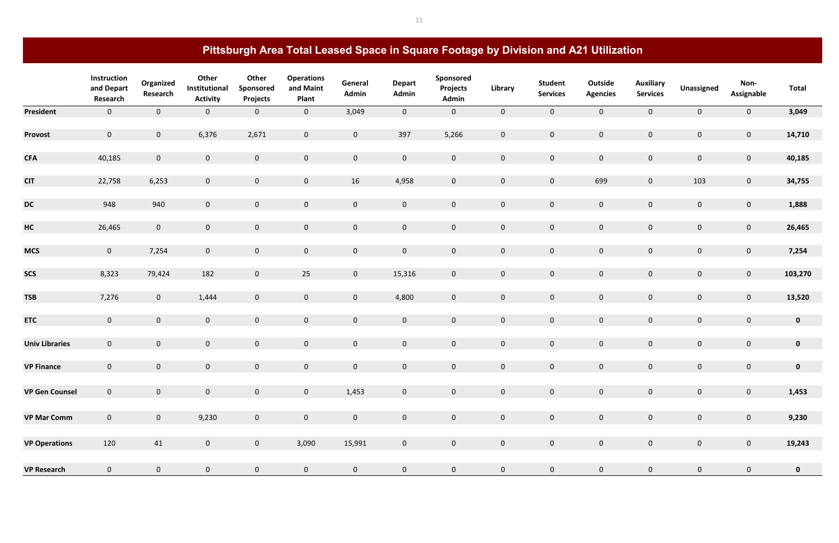|                       | Instruction<br>and Depart<br>Research | Organized<br>Research | Other<br>Institutional<br><b>Activity</b> | Other<br>Sponsored<br><b>Projects</b> | <b>Operations</b><br>and Maint<br><b>Plant</b> | General<br>Admin | <b>Depart</b><br>Admin | Sponsored<br><b>Projects</b><br>Admin | Library        | <b>Student</b><br><b>Services</b> | Outside<br><b>Agencies</b> | <b>Auxiliary</b><br><b>Services</b> | Unassigned     | Non-<br><b>Assignable</b> | <b>Total</b> |
|-----------------------|---------------------------------------|-----------------------|-------------------------------------------|---------------------------------------|------------------------------------------------|------------------|------------------------|---------------------------------------|----------------|-----------------------------------|----------------------------|-------------------------------------|----------------|---------------------------|--------------|
| President             | $\overline{0}$                        | $\overline{0}$        | $\overline{0}$                            | $\mathbf{0}$                          | $\mathbf 0$                                    | 3,049            | $\overline{0}$         | $\overline{0}$                        | $\mathbf{0}$   | $\overline{0}$                    | $\overline{0}$             | $\overline{0}$                      | $\mathbf{0}$   | $\mathbf{0}$              | 3,049        |
| <b>Provost</b>        | $\overline{0}$                        | $\mathbf 0$           | 6,376                                     | 2,671                                 | $\mathbf 0$                                    | $\overline{0}$   | 397                    | 5,266                                 | $\overline{0}$ | $\overline{0}$                    | $\mathbf 0$                | $\mathbf 0$                         | $\mathbf{0}$   | $\overline{0}$            | 14,710       |
| <b>CFA</b>            | 40,185                                | $\overline{0}$        | $\mathbf 0$                               | $\mathbf{0}$                          | $\mathbf 0$                                    | $\overline{0}$   | $\overline{0}$         | $\mathbf 0$                           | $\overline{0}$ | $\overline{0}$                    | $\mathbf 0$                | $\mathbf{0}$                        | $\mathbf{0}$   | $\overline{0}$            | 40,185       |
| <b>CIT</b>            | 22,758                                | 6,253                 | $\overline{0}$                            | $\mathbf{0}$                          | $\mathbf 0$                                    | 16               | 4,958                  | $\mathbf{0}$                          | $\overline{0}$ | $\mathbf 0$                       | 699                        | $\overline{0}$                      | 103            | $\overline{0}$            | 34,755       |
| <b>DC</b>             | 948                                   | 940                   | $\overline{0}$                            | $\mathbf{0}$                          | $\mathbf 0$                                    | $\overline{0}$   | $\overline{0}$         | $\mathbf 0$                           | $\mathbf{0}$   | $\mathbf{0}$                      | $\mathbf{0}$               | $\mathbf 0$                         | $\mathbf{0}$   | $\overline{0}$            | 1,888        |
| HC                    | 26,465                                | $\mathbf 0$           | $\mathbf{0}$                              | $\mathbf{0}$                          | $\mathbf 0$                                    | $\overline{0}$   | $\overline{0}$         | $\mathbf 0$                           | $\mathbf{0}$   | $\mathbf{0}$                      | $\overline{0}$             | $\mathbf 0$                         | $\overline{0}$ | $\overline{0}$            | 26,465       |
| <b>MCS</b>            | $\mathbf{0}$                          | 7,254                 | $\mathbf 0$                               | $\mathbf{0}$                          | $\mathbf 0$                                    | $\mathbf{0}$     | $\overline{0}$         | $\mathbf 0$                           | $\mathbf{0}$   | $\pmb{0}$                         | $\mathbf 0$                | $\mathbf 0$                         | $\mathbf{0}$   | $\overline{0}$            | 7,254        |
| <b>SCS</b>            | 8,323                                 | 79,424                | 182                                       | $\mathbf{0}$                          | 25                                             | $\overline{0}$   | 15,316                 | $\mathbf 0$                           | $\overline{0}$ | $\mathbf 0$                       | $\overline{0}$             | $\mathbf 0$                         | $\mathbf 0$    | $\overline{0}$            | 103,270      |
| <b>TSB</b>            | 7,276                                 | $\overline{0}$        | 1,444                                     | $\mathbf{0}$                          | $\mathbf 0$                                    | $\overline{0}$   | 4,800                  | $\mathbf 0$                           | $\overline{0}$ | $\mathbf 0$                       | $\mathbf 0$                | $\mathbf 0$                         | $\mathbf{0}$   | $\overline{0}$            | 13,520       |
| <b>ETC</b>            | $\overline{0}$                        | $\mathbf 0$           | $\overline{0}$                            | $\mathbf{0}$                          | $\mathbf 0$                                    | $\mathbf 0$      | $\overline{0}$         | $\mathbf 0$                           | $\overline{0}$ | $\mathbf 0$                       | $\mathbf{0}$               | $\bf 0$                             | $\mathbf 0$    | $\overline{0}$            | $\mathbf 0$  |
| <b>Univ Libraries</b> | $\overline{0}$                        | $\mathbf 0$           | $\mathbf{0}$                              | $\mathbf{0}$                          | $\mathbf 0$                                    | $\mathbf{0}$     | $\overline{0}$         | $\mathbf 0$                           | $\overline{0}$ | $\mathbf{0}$                      | $\mathbf{0}$               | $\mathbf 0$                         | $\mathbf{0}$   | $\overline{0}$            | $\mathbf{0}$ |
| <b>VP Finance</b>     | $\mathbf 0$                           | $\mathbf 0$           | $\mathbf 0$                               | $\mathbf 0$                           | $\mathbf 0$                                    | $\overline{0}$   | $\mathbf 0$            | $\pmb{0}$                             | $\mathbf 0$    | $\mathbf 0$                       | $\mathbf 0$                | $\mathbf 0$                         | $\mathbf 0$    | $\mathbf 0$               | $\mathbf 0$  |
| <b>VP Gen Counsel</b> | $\overline{0}$                        | $\mathbf 0$           | $\mathbf 0$                               | $\mathbf{0}$                          | $\mathbf 0$                                    | 1,453            | $\overline{0}$         | $\mathbf 0$                           | $\mathbf{0}$   | $\mathbf 0$                       | $\mathbf{0}$               | $\mathbf 0$                         | $\mathbf{0}$   | $\mathbf 0$               | 1,453        |
| <b>VP Mar Comm</b>    | $\overline{0}$                        | $\mathbf{0}$          | 9,230                                     | $\mathbf{0}$                          | $\pmb{0}$                                      | $\overline{0}$   | $\mathbf{0}$           | $\overline{0}$                        | $\overline{0}$ | $\boldsymbol{0}$                  | $\mathbf{0}$               | $\mathbf{0}$                        | $\mathbf{0}$   | $\overline{0}$            | 9,230        |
| <b>VP Operations</b>  | 120                                   | 41                    | $\mathbf 0$                               | $\mathbf{0}$                          | 3,090                                          | 15,991           | $\overline{0}$         | $\mathbf 0$                           | $\mathbf{0}$   | $\pmb{0}$                         | $\mathbf{0}$               | $\mathbf 0$                         | $\mathbf 0$    | $\overline{0}$            | 19,243       |
| <b>VP Research</b>    | $\mathbf 0$                           | $\overline{0}$        | $\mathbf 0$                               | $\mathbf{0}$                          | $\mathbf 0$                                    | $\mathbf 0$      | $\overline{0}$         | $\mathbf 0$                           | $\overline{0}$ | $\mathbf 0$                       | $\mathbf{0}$               | $\mathbf 0$                         | $\mathbf 0$    | $\overline{0}$            | $\mathbf{0}$ |

# **Pittsburgh Area Total Leased Space in Square Footage by Division and A21 Utilization**